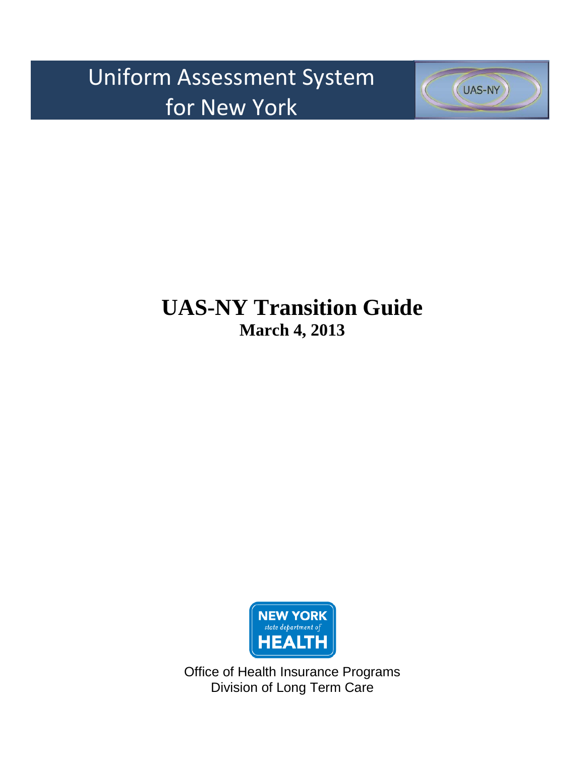Uniform Assessment System for New York



UAS-NY



Office of Health Insurance Programs Division of Long Term Care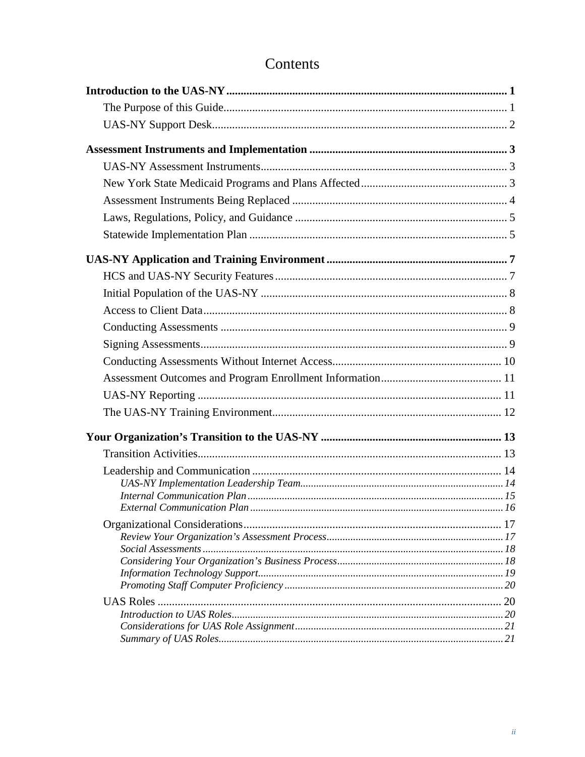# Contents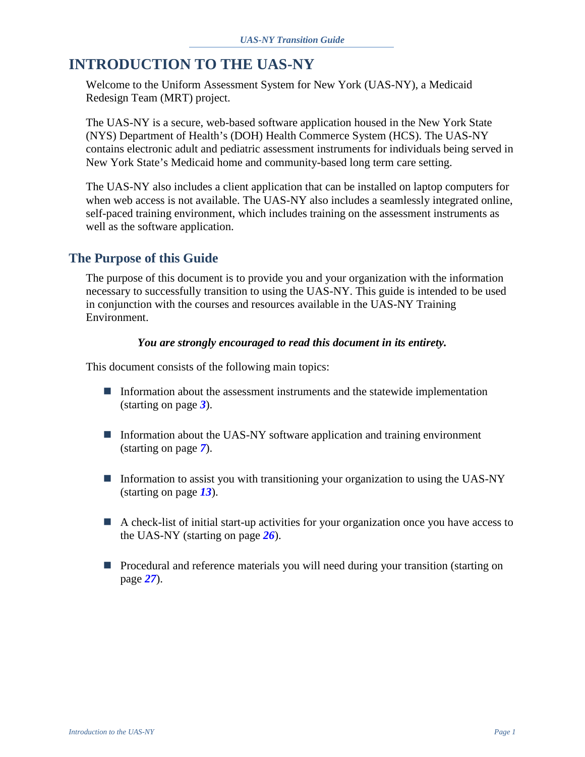# <span id="page-3-0"></span>**INTRODUCTION TO THE UAS-NY**

Welcome to the Uniform Assessment System for New York (UAS-NY), a Medicaid Redesign Team (MRT) project.

The UAS-NY is a secure, web-based software application housed in the New York State (NYS) Department of Health's (DOH) Health Commerce System (HCS). The UAS-NY contains electronic adult and pediatric assessment instruments for individuals being served in New York State's Medicaid home and community-based long term care setting.

The UAS-NY also includes a client application that can be installed on laptop computers for when web access is not available. The UAS-NY also includes a seamlessly integrated online, self-paced training environment, which includes training on the assessment instruments as well as the software application.

## <span id="page-3-1"></span>**The Purpose of this Guide**

The purpose of this document is to provide you and your organization with the information necessary to successfully transition to using the UAS-NY. This guide is intended to be used in conjunction with the courses and resources available in the UAS-NY Training Environment.

#### *You are strongly encouraged to read this document in its entirety.*

This document consists of the following main topics:

- **Information about the assessment instruments and the statewide implementation** (starting on page *[3](#page-5-0)*).
- Information about the UAS-NY software application and training environment (starting on page *[7](#page-9-0)*).
- Information to assist you with transitioning your organization to using the UAS-NY (starting on page *[13](#page-15-0)*).
- A check-list of initial start-up activities for your organization once you have access to the UAS-NY (starting on page *[26](#page-28-0)*).
- **Procedural and reference materials you will need during your transition (starting on** page *[27](#page-29-0)*).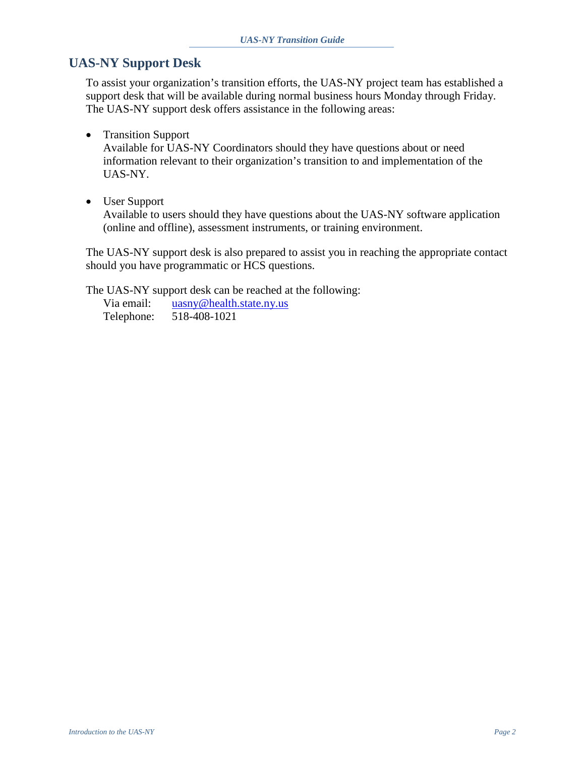# <span id="page-4-0"></span>**UAS-NY Support Desk**

To assist your organization's transition efforts, the UAS-NY project team has established a support desk that will be available during normal business hours Monday through Friday. The UAS-NY support desk offers assistance in the following areas:

• Transition Support

Available for UAS-NY Coordinators should they have questions about or need information relevant to their organization's transition to and implementation of the UAS-NY.

• User Support

Available to users should they have questions about the UAS-NY software application (online and offline), assessment instruments, or training environment.

The UAS-NY support desk is also prepared to assist you in reaching the appropriate contact should you have programmatic or HCS questions.

The UAS-NY support desk can be reached at the following:

Via email: [uasny@health.state.ny.us](mailto:uasny@health.state.ny.us) Telephone: 518-408-1021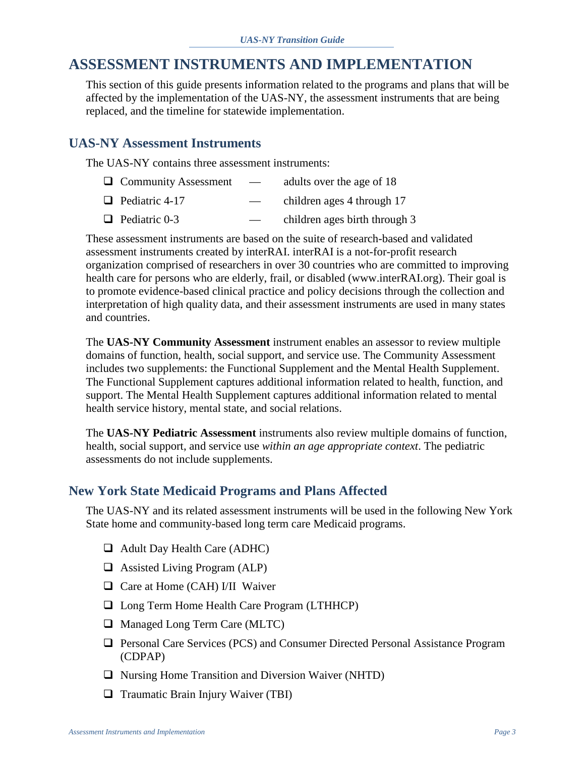# <span id="page-5-0"></span>**ASSESSMENT INSTRUMENTS AND IMPLEMENTATION**

This section of this guide presents information related to the programs and plans that will be affected by the implementation of the UAS-NY, the assessment instruments that are being replaced, and the timeline for statewide implementation.

# <span id="page-5-1"></span>**UAS-NY Assessment Instruments**

The UAS-NY contains three assessment instruments:

- $\Box$  Community Assessment adults over the age of 18
- $\Box$  Pediatric 4-17 children ages 4 through 17
- $\Box$  Pediatric 0-3 children ages birth through 3

These assessment instruments are based on the suite of research-based and validated assessment instruments created by interRAI. interRAI is a not-for-profit research organization comprised of researchers in over 30 countries who are committed to improving health care for persons who are elderly, frail, or disabled (www.interRAI.org). Their goal is to promote evidence-based clinical practice and policy decisions through the collection and interpretation of high quality data, and their assessment instruments are used in many states and countries.

The **UAS-NY Community Assessment** instrument enables an assessor to review multiple domains of function, health, social support, and service use. The Community Assessment includes two supplements: the Functional Supplement and the Mental Health Supplement. The Functional Supplement captures additional information related to health, function, and support. The Mental Health Supplement captures additional information related to mental health service history, mental state, and social relations.

The **UAS-NY Pediatric Assessment** instruments also review multiple domains of function, health, social support, and service use *within an age appropriate context*. The pediatric assessments do not include supplements.

# <span id="page-5-2"></span>**New York State Medicaid Programs and Plans Affected**

The UAS-NY and its related assessment instruments will be used in the following New York State home and community-based long term care Medicaid programs.

- □ Adult Day Health Care (ADHC)
- $\Box$  Assisted Living Program (ALP)
- $\Box$  Care at Home (CAH) I/II Waiver
- □ Long Term Home Health Care Program (LTHHCP)
- □ Managed Long Term Care (MLTC)
- □ Personal Care Services (PCS) and Consumer Directed Personal Assistance Program (CDPAP)
- $\Box$  Nursing Home Transition and Diversion Waiver (NHTD)
- $\Box$  Traumatic Brain Injury Waiver (TBI)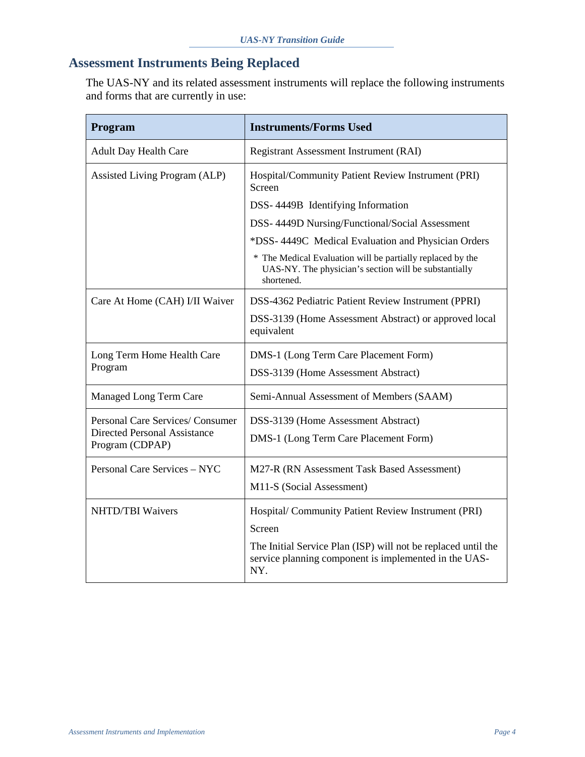# <span id="page-6-0"></span>**Assessment Instruments Being Replaced**

The UAS-NY and its related assessment instruments will replace the following instruments and forms that are currently in use:

| Program                                                | <b>Instruments/Forms Used</b>                                                                                                     |  |
|--------------------------------------------------------|-----------------------------------------------------------------------------------------------------------------------------------|--|
| <b>Adult Day Health Care</b>                           | Registrant Assessment Instrument (RAI)                                                                                            |  |
| Assisted Living Program (ALP)                          | Hospital/Community Patient Review Instrument (PRI)<br>Screen                                                                      |  |
|                                                        | DSS-4449B Identifying Information                                                                                                 |  |
|                                                        | DSS- 4449D Nursing/Functional/Social Assessment                                                                                   |  |
|                                                        | *DSS-4449C Medical Evaluation and Physician Orders                                                                                |  |
|                                                        | * The Medical Evaluation will be partially replaced by the<br>UAS-NY. The physician's section will be substantially<br>shortened. |  |
| Care At Home (CAH) I/II Waiver                         | DSS-4362 Pediatric Patient Review Instrument (PPRI)                                                                               |  |
|                                                        | DSS-3139 (Home Assessment Abstract) or approved local<br>equivalent                                                               |  |
| Long Term Home Health Care                             | DMS-1 (Long Term Care Placement Form)                                                                                             |  |
| Program                                                | DSS-3139 (Home Assessment Abstract)                                                                                               |  |
| Managed Long Term Care                                 | Semi-Annual Assessment of Members (SAAM)                                                                                          |  |
| Personal Care Services/ Consumer                       | DSS-3139 (Home Assessment Abstract)                                                                                               |  |
| <b>Directed Personal Assistance</b><br>Program (CDPAP) | DMS-1 (Long Term Care Placement Form)                                                                                             |  |
| <b>Personal Care Services - NYC</b>                    | M27-R (RN Assessment Task Based Assessment)                                                                                       |  |
|                                                        | M11-S (Social Assessment)                                                                                                         |  |
| <b>NHTD/TBI Waivers</b>                                | Hospital/Community Patient Review Instrument (PRI)                                                                                |  |
|                                                        | Screen                                                                                                                            |  |
|                                                        | The Initial Service Plan (ISP) will not be replaced until the<br>service planning component is implemented in the UAS-<br>NY.     |  |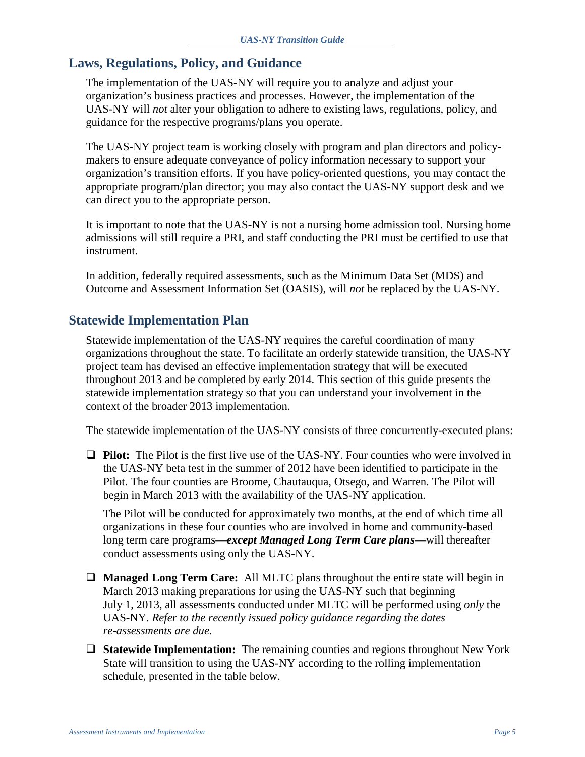## <span id="page-7-0"></span>**Laws, Regulations, Policy, and Guidance**

The implementation of the UAS-NY will require you to analyze and adjust your organization's business practices and processes. However, the implementation of the UAS-NY will *not* alter your obligation to adhere to existing laws, regulations, policy, and guidance for the respective programs/plans you operate.

The UAS-NY project team is working closely with program and plan directors and policymakers to ensure adequate conveyance of policy information necessary to support your organization's transition efforts. If you have policy-oriented questions, you may contact the appropriate program/plan director; you may also contact the UAS-NY support desk and we can direct you to the appropriate person.

It is important to note that the UAS-NY is not a nursing home admission tool. Nursing home admissions will still require a PRI, and staff conducting the PRI must be certified to use that instrument.

In addition, federally required assessments, such as the Minimum Data Set (MDS) and Outcome and Assessment Information Set (OASIS), will *not* be replaced by the UAS-NY.

## <span id="page-7-1"></span>**Statewide Implementation Plan**

Statewide implementation of the UAS-NY requires the careful coordination of many organizations throughout the state. To facilitate an orderly statewide transition, the UAS-NY project team has devised an effective implementation strategy that will be executed throughout 2013 and be completed by early 2014. This section of this guide presents the statewide implementation strategy so that you can understand your involvement in the context of the broader 2013 implementation.

The statewide implementation of the UAS-NY consists of three concurrently-executed plans:

**Pilot:** The Pilot is the first live use of the UAS-NY. Four counties who were involved in the UAS-NY beta test in the summer of 2012 have been identified to participate in the Pilot. The four counties are Broome, Chautauqua, Otsego, and Warren. The Pilot will begin in March 2013 with the availability of the UAS-NY application.

The Pilot will be conducted for approximately two months, at the end of which time all organizations in these four counties who are involved in home and community-based long term care programs—*except Managed Long Term Care plans*—will thereafter conduct assessments using only the UAS-NY.

- **Managed Long Term Care:** All MLTC plans throughout the entire state will begin in March 2013 making preparations for using the UAS-NY such that beginning July 1, 2013, all assessments conducted under MLTC will be performed using *only* the UAS-NY. *Refer to the recently issued policy guidance regarding the dates re-assessments are due.*
- **Statewide Implementation:** The remaining counties and regions throughout New York State will transition to using the UAS-NY according to the rolling implementation schedule, presented in the table below.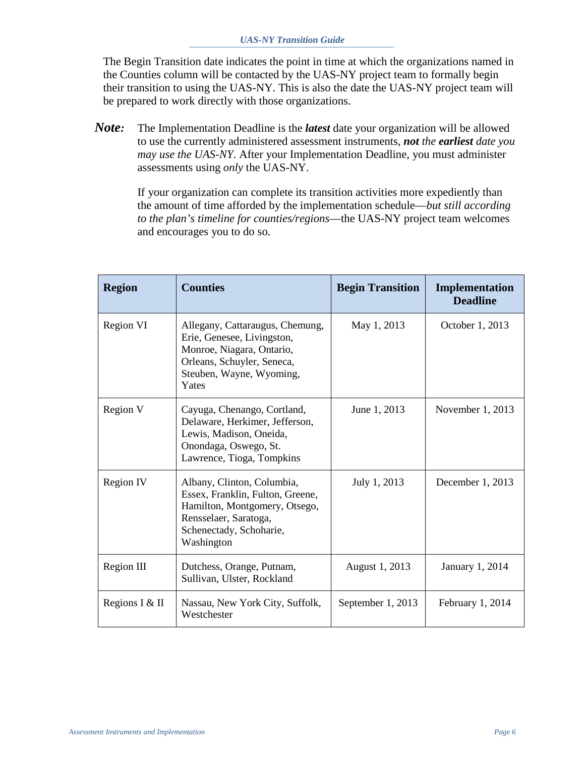The Begin Transition date indicates the point in time at which the organizations named in the Counties column will be contacted by the UAS-NY project team to formally begin their transition to using the UAS-NY. This is also the date the UAS-NY project team will be prepared to work directly with those organizations.

*Note:* The Implementation Deadline is the *latest* date your organization will be allowed to use the currently administered assessment instruments, *not the earliest date you may use the UAS-NY*. After your Implementation Deadline, you must administer assessments using *only* the UAS-NY.

> If your organization can complete its transition activities more expediently than the amount of time afforded by the implementation schedule—*but still according to the plan's timeline for counties/regions*—the UAS-NY project team welcomes and encourages you to do so.

| <b>Region</b>                                                                                                                                                                         | <b>Counties</b>                                                                                                                                               | <b>Begin Transition</b> | Implementation<br><b>Deadline</b> |
|---------------------------------------------------------------------------------------------------------------------------------------------------------------------------------------|---------------------------------------------------------------------------------------------------------------------------------------------------------------|-------------------------|-----------------------------------|
| Region VI                                                                                                                                                                             | Allegany, Cattaraugus, Chemung,<br>Erie, Genesee, Livingston,<br>Monroe, Niagara, Ontario,<br>Orleans, Schuyler, Seneca,<br>Steuben, Wayne, Wyoming,<br>Yates | May 1, 2013             | October 1, 2013                   |
| Region V                                                                                                                                                                              | Cayuga, Chenango, Cortland,<br>Delaware, Herkimer, Jefferson,<br>Lewis, Madison, Oneida,<br>Onondaga, Oswego, St.<br>Lawrence, Tioga, Tompkins                | June 1, 2013            | November $1, 2013$                |
| <b>Region IV</b><br>Albany, Clinton, Columbia,<br>Essex, Franklin, Fulton, Greene,<br>Hamilton, Montgomery, Otsego,<br>Rensselaer, Saratoga,<br>Schenectady, Schoharie,<br>Washington |                                                                                                                                                               | July 1, 2013            | December 1, 2013                  |
| Region III                                                                                                                                                                            | Dutchess, Orange, Putnam,<br>Sullivan, Ulster, Rockland                                                                                                       | August 1, 2013          | January 1, 2014                   |
| Regions I & $II$                                                                                                                                                                      | Nassau, New York City, Suffolk,<br>Westchester                                                                                                                | September 1, 2013       | February 1, 2014                  |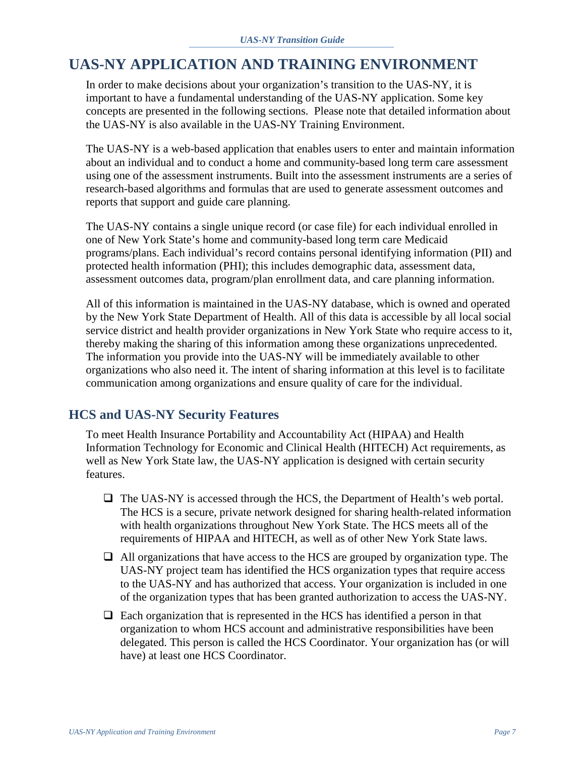# <span id="page-9-0"></span>**UAS-NY APPLICATION AND TRAINING ENVIRONMENT**

In order to make decisions about your organization's transition to the UAS-NY, it is important to have a fundamental understanding of the UAS-NY application. Some key concepts are presented in the following sections. Please note that detailed information about the UAS-NY is also available in the UAS-NY Training Environment.

The UAS-NY is a web-based application that enables users to enter and maintain information about an individual and to conduct a home and community-based long term care assessment using one of the assessment instruments. Built into the assessment instruments are a series of research-based algorithms and formulas that are used to generate assessment outcomes and reports that support and guide care planning.

The UAS-NY contains a single unique record (or case file) for each individual enrolled in one of New York State's home and community-based long term care Medicaid programs/plans. Each individual's record contains personal identifying information (PII) and protected health information (PHI); this includes demographic data, assessment data, assessment outcomes data, program/plan enrollment data, and care planning information.

All of this information is maintained in the UAS-NY database, which is owned and operated by the New York State Department of Health. All of this data is accessible by all local social service district and health provider organizations in New York State who require access to it, thereby making the sharing of this information among these organizations unprecedented. The information you provide into the UAS-NY will be immediately available to other organizations who also need it. The intent of sharing information at this level is to facilitate communication among organizations and ensure quality of care for the individual.

# <span id="page-9-1"></span>**HCS and UAS-NY Security Features**

To meet Health Insurance Portability and Accountability Act (HIPAA) and Health Information Technology for Economic and Clinical Health (HITECH) Act requirements, as well as New York State law, the UAS-NY application is designed with certain security features.

- $\Box$  The UAS-NY is accessed through the HCS, the Department of Health's web portal. The HCS is a secure, private network designed for sharing health-related information with health organizations throughout New York State. The HCS meets all of the requirements of HIPAA and HITECH, as well as of other New York State laws.
- $\Box$  All organizations that have access to the HCS are grouped by organization type. The UAS-NY project team has identified the HCS organization types that require access to the UAS-NY and has authorized that access. Your organization is included in one of the organization types that has been granted authorization to access the UAS-NY.
- $\Box$  Each organization that is represented in the HCS has identified a person in that organization to whom HCS account and administrative responsibilities have been delegated. This person is called the HCS Coordinator. Your organization has (or will have) at least one HCS Coordinator.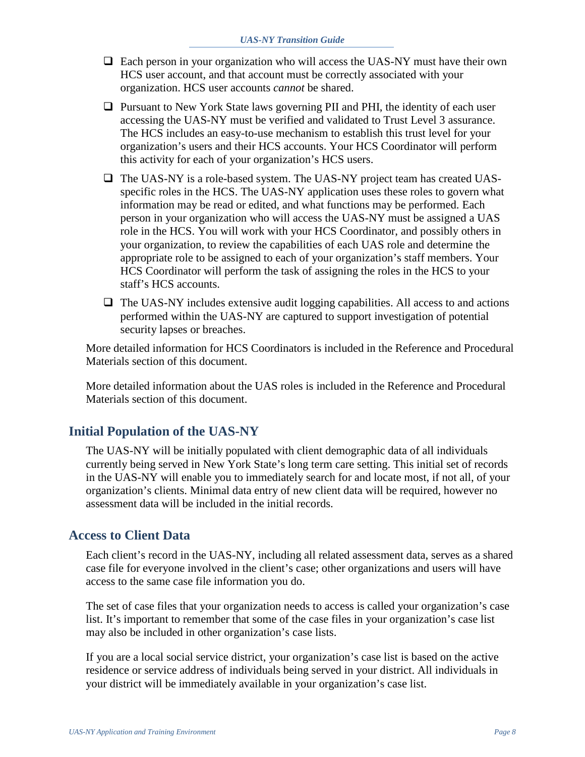- $\Box$  Each person in your organization who will access the UAS-NY must have their own HCS user account, and that account must be correctly associated with your organization. HCS user accounts *cannot* be shared.
- $\Box$  Pursuant to New York State laws governing PII and PHI, the identity of each user accessing the UAS-NY must be verified and validated to Trust Level 3 assurance. The HCS includes an easy-to-use mechanism to establish this trust level for your organization's users and their HCS accounts. Your HCS Coordinator will perform this activity for each of your organization's HCS users.
- The UAS-NY is a role-based system. The UAS-NY project team has created UASspecific roles in the HCS. The UAS-NY application uses these roles to govern what information may be read or edited, and what functions may be performed. Each person in your organization who will access the UAS-NY must be assigned a UAS role in the HCS. You will work with your HCS Coordinator, and possibly others in your organization, to review the capabilities of each UAS role and determine the appropriate role to be assigned to each of your organization's staff members. Your HCS Coordinator will perform the task of assigning the roles in the HCS to your staff's HCS accounts.
- $\Box$  The UAS-NY includes extensive audit logging capabilities. All access to and actions performed within the UAS-NY are captured to support investigation of potential security lapses or breaches.

More detailed information for HCS Coordinators is included in the Reference and Procedural Materials section of this document.

More detailed information about the UAS roles is included in the Reference and Procedural Materials section of this document.

# <span id="page-10-0"></span>**Initial Population of the UAS-NY**

The UAS-NY will be initially populated with client demographic data of all individuals currently being served in New York State's long term care setting. This initial set of records in the UAS-NY will enable you to immediately search for and locate most, if not all, of your organization's clients. Minimal data entry of new client data will be required, however no assessment data will be included in the initial records.

# <span id="page-10-1"></span>**Access to Client Data**

Each client's record in the UAS-NY, including all related assessment data, serves as a shared case file for everyone involved in the client's case; other organizations and users will have access to the same case file information you do.

The set of case files that your organization needs to access is called your organization's case list. It's important to remember that some of the case files in your organization's case list may also be included in other organization's case lists.

If you are a local social service district, your organization's case list is based on the active residence or service address of individuals being served in your district. All individuals in your district will be immediately available in your organization's case list.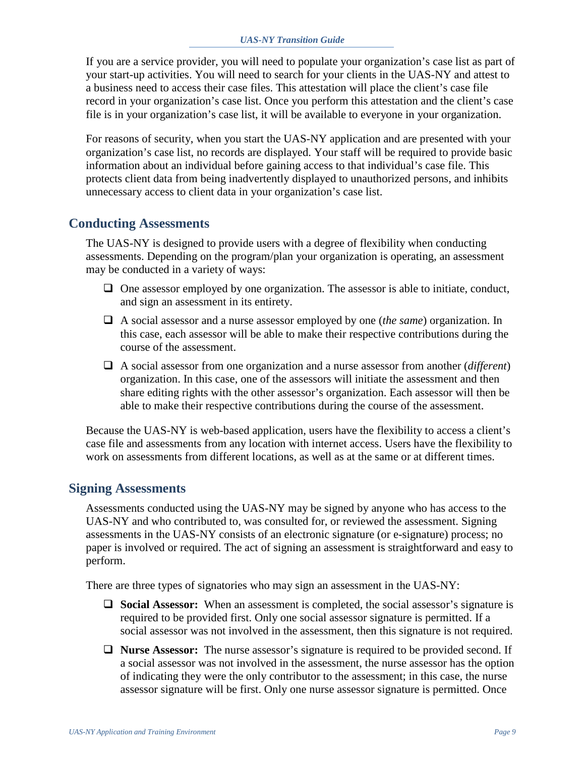If you are a service provider, you will need to populate your organization's case list as part of your start-up activities. You will need to search for your clients in the UAS-NY and attest to a business need to access their case files. This attestation will place the client's case file record in your organization's case list. Once you perform this attestation and the client's case file is in your organization's case list, it will be available to everyone in your organization.

For reasons of security, when you start the UAS-NY application and are presented with your organization's case list, no records are displayed. Your staff will be required to provide basic information about an individual before gaining access to that individual's case file. This protects client data from being inadvertently displayed to unauthorized persons, and inhibits unnecessary access to client data in your organization's case list.

# <span id="page-11-0"></span>**Conducting Assessments**

The UAS-NY is designed to provide users with a degree of flexibility when conducting assessments. Depending on the program/plan your organization is operating, an assessment may be conducted in a variety of ways:

- $\Box$  One assessor employed by one organization. The assessor is able to initiate, conduct, and sign an assessment in its entirety.
- A social assessor and a nurse assessor employed by one (*the same*) organization. In this case, each assessor will be able to make their respective contributions during the course of the assessment.
- A social assessor from one organization and a nurse assessor from another (*different*) organization. In this case, one of the assessors will initiate the assessment and then share editing rights with the other assessor's organization. Each assessor will then be able to make their respective contributions during the course of the assessment.

Because the UAS-NY is web-based application, users have the flexibility to access a client's case file and assessments from any location with internet access. Users have the flexibility to work on assessments from different locations, as well as at the same or at different times.

# <span id="page-11-1"></span>**Signing Assessments**

Assessments conducted using the UAS-NY may be signed by anyone who has access to the UAS-NY and who contributed to, was consulted for, or reviewed the assessment. Signing assessments in the UAS-NY consists of an electronic signature (or e-signature) process; no paper is involved or required. The act of signing an assessment is straightforward and easy to perform.

There are three types of signatories who may sign an assessment in the UAS-NY:

- □ **Social Assessor:** When an assessment is completed, the social assessor's signature is required to be provided first. Only one social assessor signature is permitted. If a social assessor was not involved in the assessment, then this signature is not required.
- **Nurse Assessor:** The nurse assessor's signature is required to be provided second. If a social assessor was not involved in the assessment, the nurse assessor has the option of indicating they were the only contributor to the assessment; in this case, the nurse assessor signature will be first. Only one nurse assessor signature is permitted. Once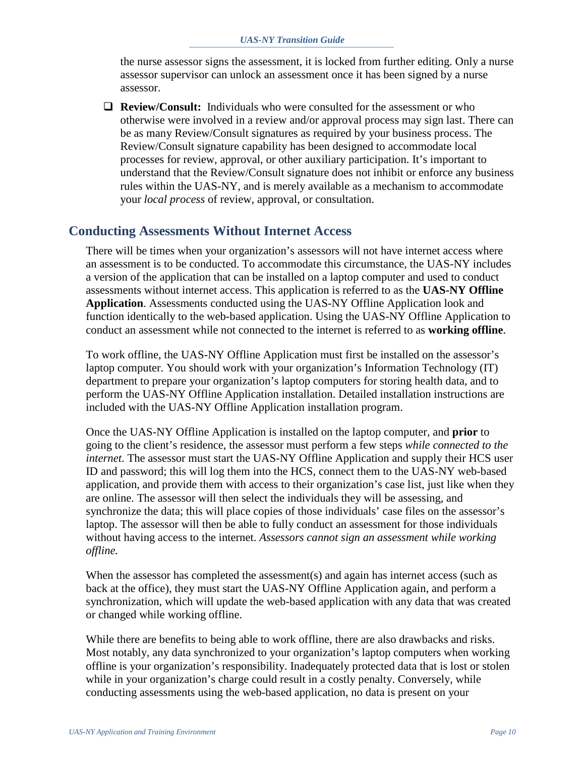the nurse assessor signs the assessment, it is locked from further editing. Only a nurse assessor supervisor can unlock an assessment once it has been signed by a nurse assessor.

 **Review/Consult:** Individuals who were consulted for the assessment or who otherwise were involved in a review and/or approval process may sign last. There can be as many Review/Consult signatures as required by your business process. The Review/Consult signature capability has been designed to accommodate local processes for review, approval, or other auxiliary participation. It's important to understand that the Review/Consult signature does not inhibit or enforce any business rules within the UAS-NY, and is merely available as a mechanism to accommodate your *local process* of review, approval, or consultation.

# <span id="page-12-0"></span>**Conducting Assessments Without Internet Access**

There will be times when your organization's assessors will not have internet access where an assessment is to be conducted. To accommodate this circumstance, the UAS-NY includes a version of the application that can be installed on a laptop computer and used to conduct assessments without internet access. This application is referred to as the **UAS-NY Offline Application**. Assessments conducted using the UAS-NY Offline Application look and function identically to the web-based application. Using the UAS-NY Offline Application to conduct an assessment while not connected to the internet is referred to as **working offline**.

To work offline, the UAS-NY Offline Application must first be installed on the assessor's laptop computer. You should work with your organization's Information Technology (IT) department to prepare your organization's laptop computers for storing health data, and to perform the UAS-NY Offline Application installation. Detailed installation instructions are included with the UAS-NY Offline Application installation program.

Once the UAS-NY Offline Application is installed on the laptop computer, and **prior** to going to the client's residence, the assessor must perform a few steps *while connected to the internet*. The assessor must start the UAS-NY Offline Application and supply their HCS user ID and password; this will log them into the HCS, connect them to the UAS-NY web-based application, and provide them with access to their organization's case list, just like when they are online. The assessor will then select the individuals they will be assessing, and synchronize the data; this will place copies of those individuals' case files on the assessor's laptop. The assessor will then be able to fully conduct an assessment for those individuals without having access to the internet. *Assessors cannot sign an assessment while working offline.*

When the assessor has completed the assessment(s) and again has internet access (such as back at the office), they must start the UAS-NY Offline Application again, and perform a synchronization, which will update the web-based application with any data that was created or changed while working offline.

While there are benefits to being able to work offline, there are also drawbacks and risks. Most notably, any data synchronized to your organization's laptop computers when working offline is your organization's responsibility. Inadequately protected data that is lost or stolen while in your organization's charge could result in a costly penalty. Conversely, while conducting assessments using the web-based application, no data is present on your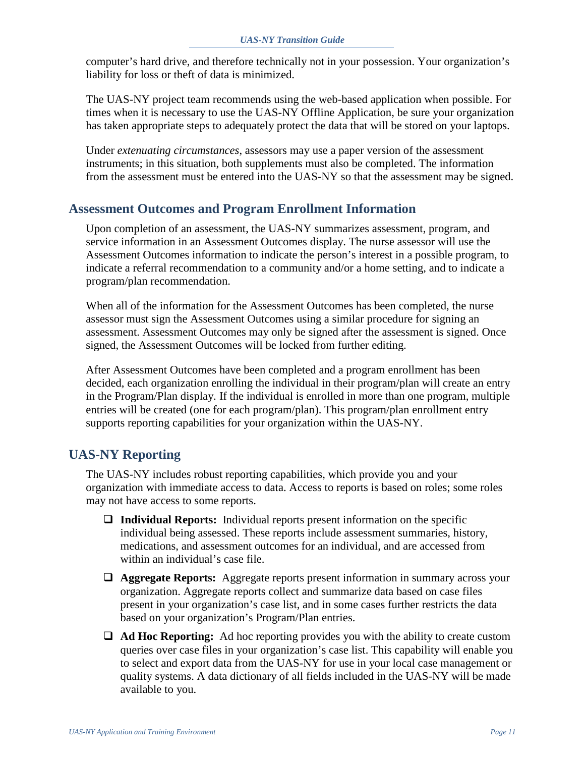computer's hard drive, and therefore technically not in your possession. Your organization's liability for loss or theft of data is minimized.

The UAS-NY project team recommends using the web-based application when possible. For times when it is necessary to use the UAS-NY Offline Application, be sure your organization has taken appropriate steps to adequately protect the data that will be stored on your laptops.

Under *extenuating circumstances*, assessors may use a paper version of the assessment instruments; in this situation, both supplements must also be completed. The information from the assessment must be entered into the UAS-NY so that the assessment may be signed.

# <span id="page-13-0"></span>**Assessment Outcomes and Program Enrollment Information**

Upon completion of an assessment, the UAS-NY summarizes assessment, program, and service information in an Assessment Outcomes display. The nurse assessor will use the Assessment Outcomes information to indicate the person's interest in a possible program, to indicate a referral recommendation to a community and/or a home setting, and to indicate a program/plan recommendation.

When all of the information for the Assessment Outcomes has been completed, the nurse assessor must sign the Assessment Outcomes using a similar procedure for signing an assessment. Assessment Outcomes may only be signed after the assessment is signed. Once signed, the Assessment Outcomes will be locked from further editing.

After Assessment Outcomes have been completed and a program enrollment has been decided, each organization enrolling the individual in their program/plan will create an entry in the Program/Plan display. If the individual is enrolled in more than one program, multiple entries will be created (one for each program/plan). This program/plan enrollment entry supports reporting capabilities for your organization within the UAS-NY.

# <span id="page-13-1"></span>**UAS-NY Reporting**

The UAS-NY includes robust reporting capabilities, which provide you and your organization with immediate access to data. Access to reports is based on roles; some roles may not have access to some reports.

- **Individual Reports:** Individual reports present information on the specific individual being assessed. These reports include assessment summaries, history, medications, and assessment outcomes for an individual, and are accessed from within an individual's case file.
- **Aggregate Reports:** Aggregate reports present information in summary across your organization. Aggregate reports collect and summarize data based on case files present in your organization's case list, and in some cases further restricts the data based on your organization's Program/Plan entries.
- **Ad Hoc Reporting:** Ad hoc reporting provides you with the ability to create custom queries over case files in your organization's case list. This capability will enable you to select and export data from the UAS-NY for use in your local case management or quality systems. A data dictionary of all fields included in the UAS-NY will be made available to you.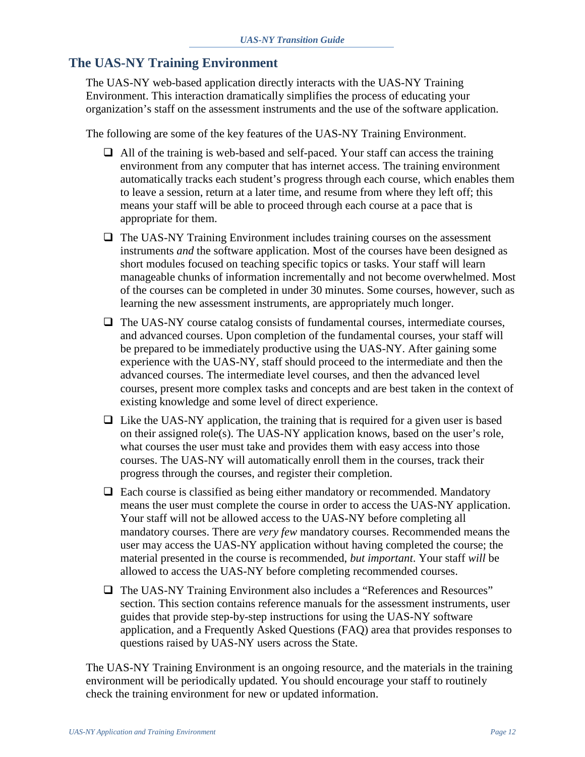# <span id="page-14-0"></span>**The UAS-NY Training Environment**

The UAS-NY web-based application directly interacts with the UAS-NY Training Environment. This interaction dramatically simplifies the process of educating your organization's staff on the assessment instruments and the use of the software application.

The following are some of the key features of the UAS-NY Training Environment.

- $\Box$  All of the training is web-based and self-paced. Your staff can access the training environment from any computer that has internet access. The training environment automatically tracks each student's progress through each course, which enables them to leave a session, return at a later time, and resume from where they left off; this means your staff will be able to proceed through each course at a pace that is appropriate for them.
- $\Box$  The UAS-NY Training Environment includes training courses on the assessment instruments *and* the software application. Most of the courses have been designed as short modules focused on teaching specific topics or tasks. Your staff will learn manageable chunks of information incrementally and not become overwhelmed. Most of the courses can be completed in under 30 minutes. Some courses, however, such as learning the new assessment instruments, are appropriately much longer.
- $\Box$  The UAS-NY course catalog consists of fundamental courses, intermediate courses, and advanced courses. Upon completion of the fundamental courses, your staff will be prepared to be immediately productive using the UAS-NY. After gaining some experience with the UAS-NY, staff should proceed to the intermediate and then the advanced courses. The intermediate level courses, and then the advanced level courses, present more complex tasks and concepts and are best taken in the context of existing knowledge and some level of direct experience.
- $\Box$  Like the UAS-NY application, the training that is required for a given user is based on their assigned role(s). The UAS-NY application knows, based on the user's role, what courses the user must take and provides them with easy access into those courses. The UAS-NY will automatically enroll them in the courses, track their progress through the courses, and register their completion.
- Each course is classified as being either mandatory or recommended. Mandatory means the user must complete the course in order to access the UAS-NY application. Your staff will not be allowed access to the UAS-NY before completing all mandatory courses. There are *very few* mandatory courses. Recommended means the user may access the UAS-NY application without having completed the course; the material presented in the course is recommended, *but important*. Your staff *will* be allowed to access the UAS-NY before completing recommended courses.
- The UAS-NY Training Environment also includes a "References and Resources" section. This section contains reference manuals for the assessment instruments, user guides that provide step-by-step instructions for using the UAS-NY software application, and a Frequently Asked Questions (FAQ) area that provides responses to questions raised by UAS-NY users across the State.

The UAS-NY Training Environment is an ongoing resource, and the materials in the training environment will be periodically updated. You should encourage your staff to routinely check the training environment for new or updated information.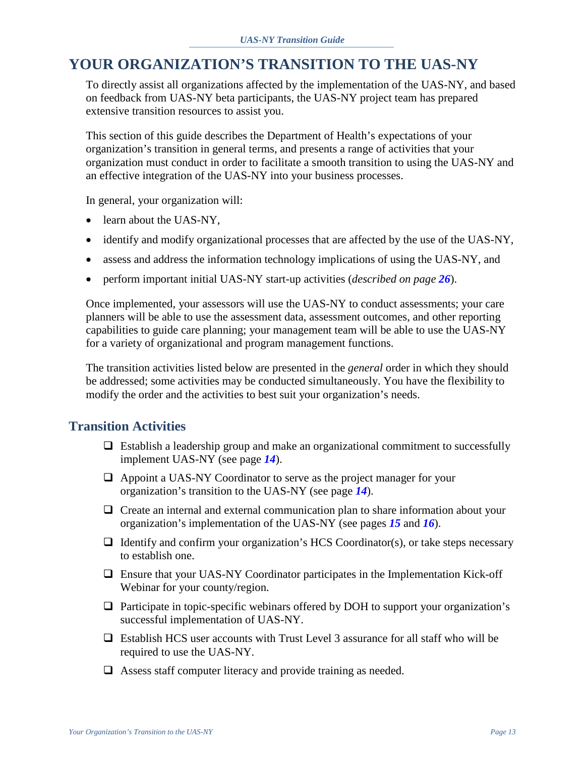# <span id="page-15-0"></span>**YOUR ORGANIZATION'S TRANSITION TO THE UAS-NY**

To directly assist all organizations affected by the implementation of the UAS-NY, and based on feedback from UAS-NY beta participants, the UAS-NY project team has prepared extensive transition resources to assist you.

This section of this guide describes the Department of Health's expectations of your organization's transition in general terms, and presents a range of activities that your organization must conduct in order to facilitate a smooth transition to using the UAS-NY and an effective integration of the UAS-NY into your business processes.

In general, your organization will:

- learn about the UAS-NY.
- identify and modify organizational processes that are affected by the use of the UAS-NY,
- assess and address the information technology implications of using the UAS-NY, and
- perform important initial UAS-NY start-up activities (*described on page [26](#page-28-0)*).

Once implemented, your assessors will use the UAS-NY to conduct assessments; your care planners will be able to use the assessment data, assessment outcomes, and other reporting capabilities to guide care planning; your management team will be able to use the UAS-NY for a variety of organizational and program management functions.

The transition activities listed below are presented in the *general* order in which they should be addressed; some activities may be conducted simultaneously. You have the flexibility to modify the order and the activities to best suit your organization's needs.

# <span id="page-15-1"></span>**Transition Activities**

- $\Box$  Establish a leadership group and make an organizational commitment to successfully implement UAS-NY (see page *[14](#page-16-1)*).
- $\Box$  Appoint a UAS-NY Coordinator to serve as the project manager for your organization's transition to the UAS-NY (see page *[14](#page-16-1)*).
- $\Box$  Create an internal and external communication plan to share information about your organization's implementation of the UAS-NY (see pages *[15](#page-17-0)* and *[16](#page-18-0)*).
- $\Box$  Identify and confirm your organization's HCS Coordinator(s), or take steps necessary to establish one.
- $\Box$  Ensure that your UAS-NY Coordinator participates in the Implementation Kick-off Webinar for your county/region.
- $\Box$  Participate in topic-specific webinars offered by DOH to support your organization's successful implementation of UAS-NY.
- $\Box$  Establish HCS user accounts with Trust Level 3 assurance for all staff who will be required to use the UAS-NY.
- Assess staff computer literacy and provide training as needed.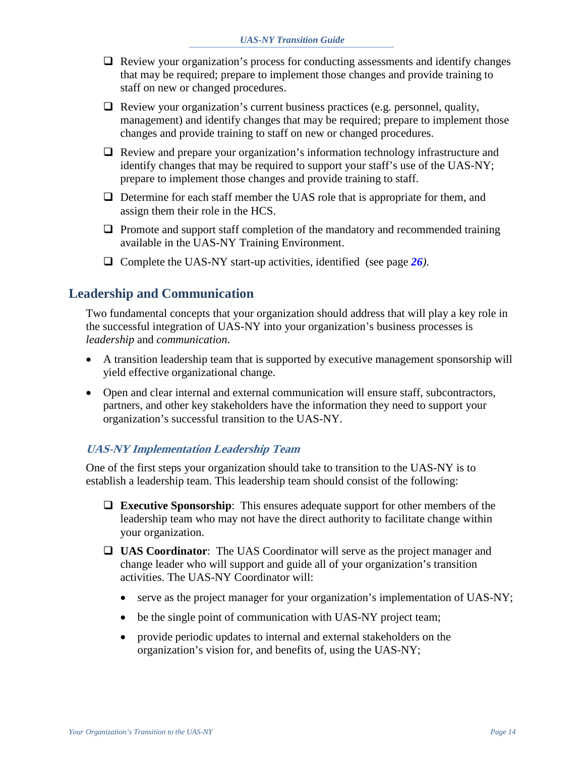- $\Box$  Review your organization's process for conducting assessments and identify changes that may be required; prepare to implement those changes and provide training to staff on new or changed procedures.
- $\Box$  Review your organization's current business practices (e.g. personnel, quality, management) and identify changes that may be required; prepare to implement those changes and provide training to staff on new or changed procedures.
- Review and prepare your organization's information technology infrastructure and identify changes that may be required to support your staff's use of the UAS-NY; prepare to implement those changes and provide training to staff.
- $\Box$  Determine for each staff member the UAS role that is appropriate for them, and assign them their role in the HCS.
- $\Box$  Promote and support staff completion of the mandatory and recommended training available in the UAS-NY Training Environment.
- □ Complete the UAS-NY start-up activities, identified (see page [26](#page-28-0)).

# <span id="page-16-0"></span>**Leadership and Communication**

Two fundamental concepts that your organization should address that will play a key role in the successful integration of UAS-NY into your organization's business processes is *leadership* and *communication*.

- A transition leadership team that is supported by executive management sponsorship will yield effective organizational change.
- Open and clear internal and external communication will ensure staff, subcontractors, partners, and other key stakeholders have the information they need to support your organization's successful transition to the UAS-NY.

### <span id="page-16-1"></span>**UAS-NY Implementation Leadership Team**

One of the first steps your organization should take to transition to the UAS-NY is to establish a leadership team. This leadership team should consist of the following:

- **Executive Sponsorship**: This ensures adequate support for other members of the leadership team who may not have the direct authority to facilitate change within your organization.
- **UAS Coordinator**: The UAS Coordinator will serve as the project manager and change leader who will support and guide all of your organization's transition activities. The UAS-NY Coordinator will:
	- serve as the project manager for your organization's implementation of UAS-NY;
	- be the single point of communication with UAS-NY project team;
	- provide periodic updates to internal and external stakeholders on the organization's vision for, and benefits of, using the UAS-NY;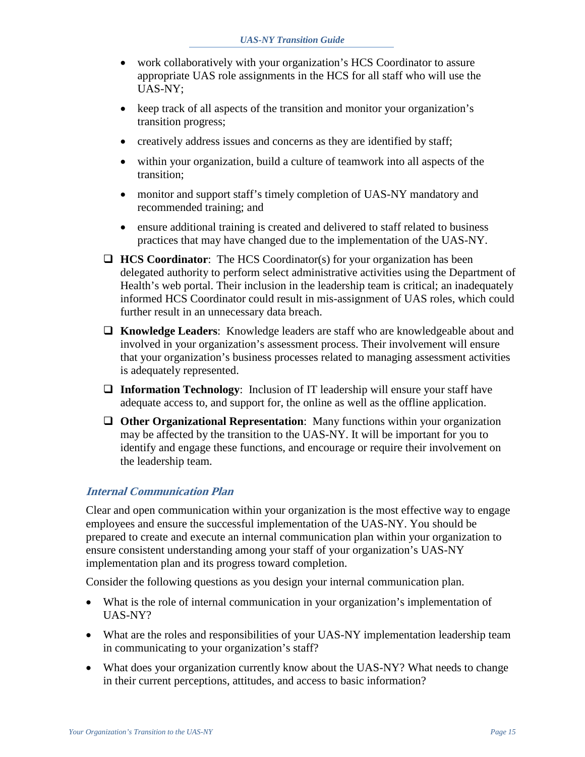- work collaboratively with your organization's HCS Coordinator to assure appropriate UAS role assignments in the HCS for all staff who will use the UAS-NY;
- keep track of all aspects of the transition and monitor your organization's transition progress;
- creatively address issues and concerns as they are identified by staff;
- within your organization, build a culture of teamwork into all aspects of the transition;
- monitor and support staff's timely completion of UAS-NY mandatory and recommended training; and
- ensure additional training is created and delivered to staff related to business practices that may have changed due to the implementation of the UAS-NY.
- **HCS Coordinator**: The HCS Coordinator(s) for your organization has been delegated authority to perform select administrative activities using the Department of Health's web portal. Their inclusion in the leadership team is critical; an inadequately informed HCS Coordinator could result in mis-assignment of UAS roles, which could further result in an unnecessary data breach.
- **Knowledge Leaders**: Knowledge leaders are staff who are knowledgeable about and involved in your organization's assessment process. Their involvement will ensure that your organization's business processes related to managing assessment activities is adequately represented.
- **Information Technology**: Inclusion of IT leadership will ensure your staff have adequate access to, and support for, the online as well as the offline application.
- **Other Organizational Representation**: Many functions within your organization may be affected by the transition to the UAS-NY. It will be important for you to identify and engage these functions, and encourage or require their involvement on the leadership team.

### <span id="page-17-0"></span>**Internal Communication Plan**

Clear and open communication within your organization is the most effective way to engage employees and ensure the successful implementation of the UAS-NY. You should be prepared to create and execute an internal communication plan within your organization to ensure consistent understanding among your staff of your organization's UAS-NY implementation plan and its progress toward completion.

Consider the following questions as you design your internal communication plan.

- What is the role of internal communication in your organization's implementation of UAS-NY?
- What are the roles and responsibilities of your UAS-NY implementation leadership team in communicating to your organization's staff?
- What does your organization currently know about the UAS-NY? What needs to change in their current perceptions, attitudes, and access to basic information?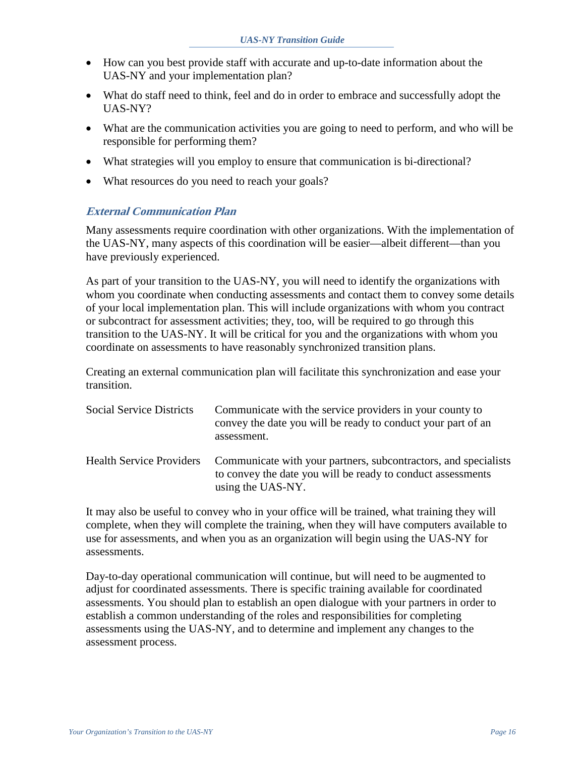- How can you best provide staff with accurate and up-to-date information about the UAS-NY and your implementation plan?
- What do staff need to think, feel and do in order to embrace and successfully adopt the UAS-NY?
- What are the communication activities you are going to need to perform, and who will be responsible for performing them?
- What strategies will you employ to ensure that communication is bi-directional?
- What resources do you need to reach your goals?

#### <span id="page-18-0"></span>**External Communication Plan**

Many assessments require coordination with other organizations. With the implementation of the UAS-NY, many aspects of this coordination will be easier—albeit different—than you have previously experienced.

As part of your transition to the UAS-NY, you will need to identify the organizations with whom you coordinate when conducting assessments and contact them to convey some details of your local implementation plan. This will include organizations with whom you contract or subcontract for assessment activities; they, too, will be required to go through this transition to the UAS-NY. It will be critical for you and the organizations with whom you coordinate on assessments to have reasonably synchronized transition plans.

Creating an external communication plan will facilitate this synchronization and ease your transition.

| <b>Social Service Districts</b> | Communicate with the service providers in your county to<br>convey the date you will be ready to conduct your part of an<br>assessment.             |
|---------------------------------|-----------------------------------------------------------------------------------------------------------------------------------------------------|
| <b>Health Service Providers</b> | Communicate with your partners, subcontractors, and specialists<br>to convey the date you will be ready to conduct assessments<br>using the UAS-NY. |

It may also be useful to convey who in your office will be trained, what training they will complete, when they will complete the training, when they will have computers available to use for assessments, and when you as an organization will begin using the UAS-NY for assessments.

Day-to-day operational communication will continue, but will need to be augmented to adjust for coordinated assessments. There is specific training available for coordinated assessments. You should plan to establish an open dialogue with your partners in order to establish a common understanding of the roles and responsibilities for completing assessments using the UAS-NY, and to determine and implement any changes to the assessment process.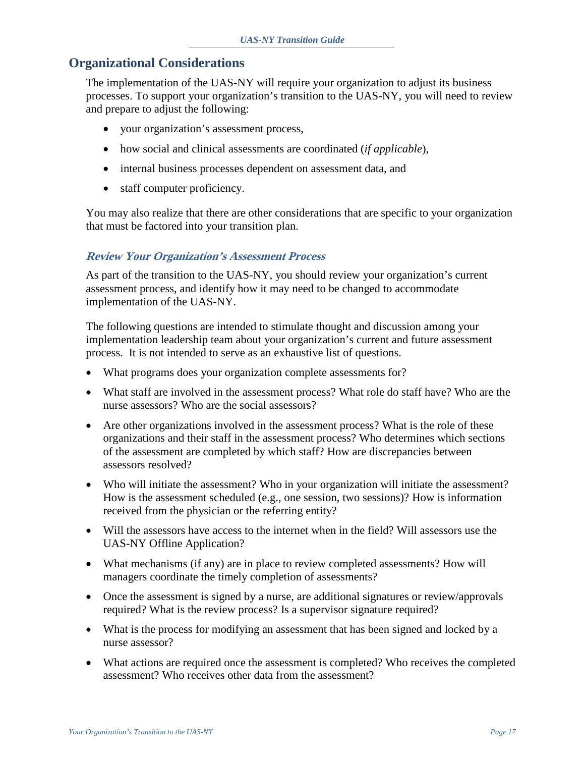# <span id="page-19-0"></span>**Organizational Considerations**

The implementation of the UAS-NY will require your organization to adjust its business processes. To support your organization's transition to the UAS-NY, you will need to review and prepare to adjust the following:

- your organization's assessment process,
- how social and clinical assessments are coordinated (*if applicable*),
- internal business processes dependent on assessment data, and
- staff computer proficiency.

You may also realize that there are other considerations that are specific to your organization that must be factored into your transition plan.

#### <span id="page-19-1"></span>**Review Your Organization's Assessment Process**

As part of the transition to the UAS-NY, you should review your organization's current assessment process, and identify how it may need to be changed to accommodate implementation of the UAS-NY.

The following questions are intended to stimulate thought and discussion among your implementation leadership team about your organization's current and future assessment process. It is not intended to serve as an exhaustive list of questions.

- What programs does your organization complete assessments for?
- What staff are involved in the assessment process? What role do staff have? Who are the nurse assessors? Who are the social assessors?
- Are other organizations involved in the assessment process? What is the role of these organizations and their staff in the assessment process? Who determines which sections of the assessment are completed by which staff? How are discrepancies between assessors resolved?
- Who will initiate the assessment? Who in your organization will initiate the assessment? How is the assessment scheduled (e.g., one session, two sessions)? How is information received from the physician or the referring entity?
- Will the assessors have access to the internet when in the field? Will assessors use the UAS-NY Offline Application?
- What mechanisms (if any) are in place to review completed assessments? How will managers coordinate the timely completion of assessments?
- Once the assessment is signed by a nurse, are additional signatures or review/approvals required? What is the review process? Is a supervisor signature required?
- What is the process for modifying an assessment that has been signed and locked by a nurse assessor?
- What actions are required once the assessment is completed? Who receives the completed assessment? Who receives other data from the assessment?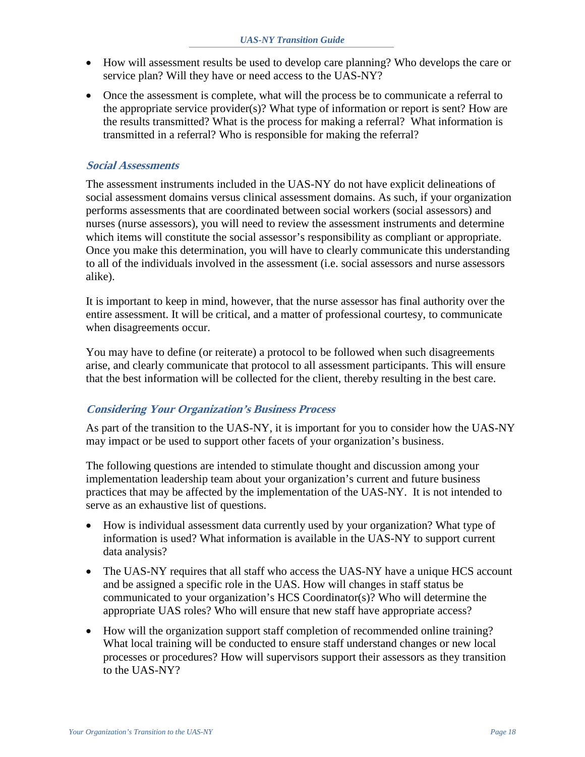- How will assessment results be used to develop care planning? Who develops the care or service plan? Will they have or need access to the UAS-NY?
- Once the assessment is complete, what will the process be to communicate a referral to the appropriate service provider(s)? What type of information or report is sent? How are the results transmitted? What is the process for making a referral? What information is transmitted in a referral? Who is responsible for making the referral?

#### <span id="page-20-0"></span>**Social Assessments**

The assessment instruments included in the UAS-NY do not have explicit delineations of social assessment domains versus clinical assessment domains. As such, if your organization performs assessments that are coordinated between social workers (social assessors) and nurses (nurse assessors), you will need to review the assessment instruments and determine which items will constitute the social assessor's responsibility as compliant or appropriate. Once you make this determination, you will have to clearly communicate this understanding to all of the individuals involved in the assessment (i.e. social assessors and nurse assessors alike).

It is important to keep in mind, however, that the nurse assessor has final authority over the entire assessment. It will be critical, and a matter of professional courtesy, to communicate when disagreements occur.

You may have to define (or reiterate) a protocol to be followed when such disagreements arise, and clearly communicate that protocol to all assessment participants. This will ensure that the best information will be collected for the client, thereby resulting in the best care.

### <span id="page-20-1"></span>**Considering Your Organization's Business Process**

As part of the transition to the UAS-NY, it is important for you to consider how the UAS-NY may impact or be used to support other facets of your organization's business.

The following questions are intended to stimulate thought and discussion among your implementation leadership team about your organization's current and future business practices that may be affected by the implementation of the UAS-NY. It is not intended to serve as an exhaustive list of questions.

- How is individual assessment data currently used by your organization? What type of information is used? What information is available in the UAS-NY to support current data analysis?
- The UAS-NY requires that all staff who access the UAS-NY have a unique HCS account and be assigned a specific role in the UAS. How will changes in staff status be communicated to your organization's HCS Coordinator(s)? Who will determine the appropriate UAS roles? Who will ensure that new staff have appropriate access?
- How will the organization support staff completion of recommended online training? What local training will be conducted to ensure staff understand changes or new local processes or procedures? How will supervisors support their assessors as they transition to the UAS-NY?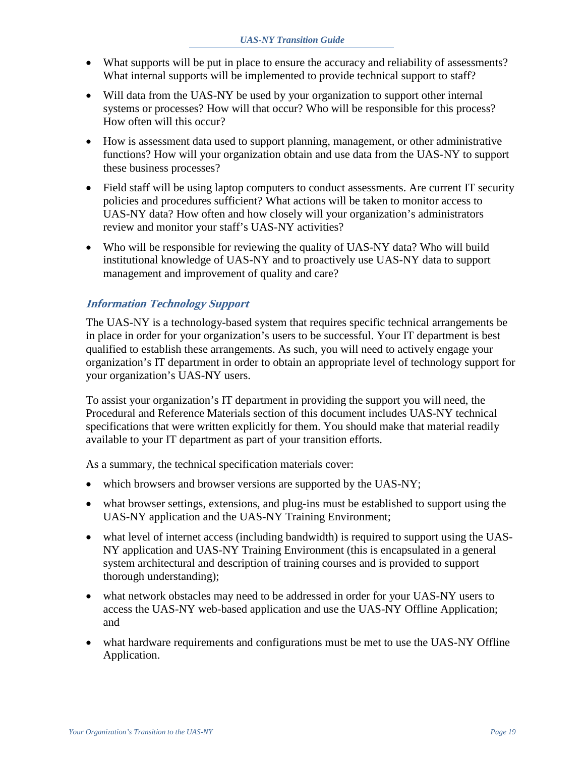- What supports will be put in place to ensure the accuracy and reliability of assessments? What internal supports will be implemented to provide technical support to staff?
- Will data from the UAS-NY be used by your organization to support other internal systems or processes? How will that occur? Who will be responsible for this process? How often will this occur?
- How is assessment data used to support planning, management, or other administrative functions? How will your organization obtain and use data from the UAS-NY to support these business processes?
- Field staff will be using laptop computers to conduct assessments. Are current IT security policies and procedures sufficient? What actions will be taken to monitor access to UAS-NY data? How often and how closely will your organization's administrators review and monitor your staff's UAS-NY activities?
- Who will be responsible for reviewing the quality of UAS-NY data? Who will build institutional knowledge of UAS-NY and to proactively use UAS-NY data to support management and improvement of quality and care?

## <span id="page-21-0"></span>**Information Technology Support**

The UAS-NY is a technology-based system that requires specific technical arrangements be in place in order for your organization's users to be successful. Your IT department is best qualified to establish these arrangements. As such, you will need to actively engage your organization's IT department in order to obtain an appropriate level of technology support for your organization's UAS-NY users.

To assist your organization's IT department in providing the support you will need, the Procedural and Reference Materials section of this document includes UAS-NY technical specifications that were written explicitly for them. You should make that material readily available to your IT department as part of your transition efforts.

As a summary, the technical specification materials cover:

- which browsers and browser versions are supported by the UAS-NY;
- what browser settings, extensions, and plug-ins must be established to support using the UAS-NY application and the UAS-NY Training Environment;
- what level of internet access (including bandwidth) is required to support using the UAS-NY application and UAS-NY Training Environment (this is encapsulated in a general system architectural and description of training courses and is provided to support thorough understanding);
- what network obstacles may need to be addressed in order for your UAS-NY users to access the UAS-NY web-based application and use the UAS-NY Offline Application; and
- what hardware requirements and configurations must be met to use the UAS-NY Offline Application.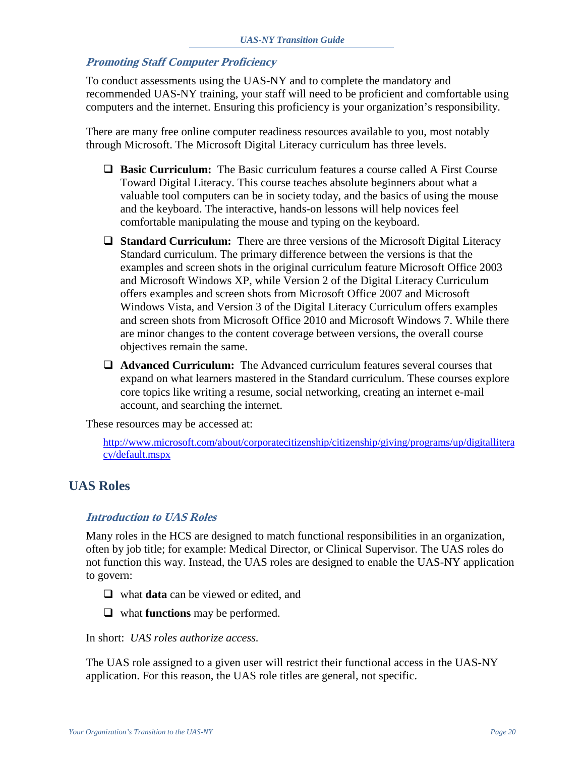#### <span id="page-22-0"></span>**Promoting Staff Computer Proficiency**

To conduct assessments using the UAS-NY and to complete the mandatory and recommended UAS-NY training, your staff will need to be proficient and comfortable using computers and the internet. Ensuring this proficiency is your organization's responsibility.

There are many free online computer readiness resources available to you, most notably through Microsoft. The Microsoft Digital Literacy curriculum has three levels.

- **Basic Curriculum:** The Basic curriculum features a course called A First Course Toward Digital Literacy. This course teaches absolute beginners about what a valuable tool computers can be in society today, and the basics of using the mouse and the keyboard. The interactive, hands-on lessons will help novices feel comfortable manipulating the mouse and typing on the keyboard.
- □ **Standard Curriculum:** There are three versions of the Microsoft Digital Literacy Standard curriculum. The primary difference between the versions is that the examples and screen shots in the original curriculum feature Microsoft Office 2003 and Microsoft Windows XP, while Version 2 of the Digital Literacy Curriculum offers examples and screen shots from Microsoft Office 2007 and Microsoft Windows Vista, and Version 3 of the Digital Literacy Curriculum offers examples and screen shots from Microsoft Office 2010 and Microsoft Windows 7. While there are minor changes to the content coverage between versions, the overall course objectives remain the same.
- **Advanced Curriculum:** The Advanced curriculum features several courses that expand on what learners mastered in the Standard curriculum. These courses explore core topics like writing a resume, social networking, creating an internet e-mail account, and searching the internet.

These resources may be accessed at:

[http://www.microsoft.com/about/corporatecitizenship/citizenship/giving/programs/up/digitallitera](http://www.microsoft.com/about/corporatecitizenship/citizenship/giving/programs/up/digitalliteracy/default.mspx) [cy/default.mspx](http://www.microsoft.com/about/corporatecitizenship/citizenship/giving/programs/up/digitalliteracy/default.mspx)

# <span id="page-22-2"></span><span id="page-22-1"></span>**UAS Roles**

#### **Introduction to UAS Roles**

Many roles in the HCS are designed to match functional responsibilities in an organization, often by job title; for example: Medical Director, or Clinical Supervisor. The UAS roles do not function this way. Instead, the UAS roles are designed to enable the UAS-NY application to govern:

- what **data** can be viewed or edited, and
- what **functions** may be performed.

In short: *UAS roles authorize access.*

The UAS role assigned to a given user will restrict their functional access in the UAS-NY application. For this reason, the UAS role titles are general, not specific.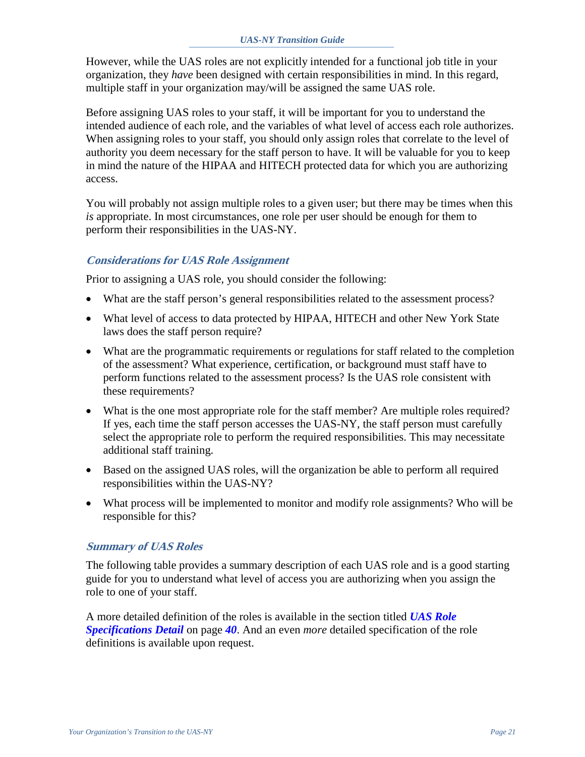However, while the UAS roles are not explicitly intended for a functional job title in your organization, they *have* been designed with certain responsibilities in mind. In this regard, multiple staff in your organization may/will be assigned the same UAS role.

Before assigning UAS roles to your staff, it will be important for you to understand the intended audience of each role, and the variables of what level of access each role authorizes. When assigning roles to your staff, you should only assign roles that correlate to the level of authority you deem necessary for the staff person to have. It will be valuable for you to keep in mind the nature of the HIPAA and HITECH protected data for which you are authorizing access.

You will probably not assign multiple roles to a given user; but there may be times when this *is* appropriate. In most circumstances, one role per user should be enough for them to perform their responsibilities in the UAS-NY.

## <span id="page-23-0"></span>**Considerations for UAS Role Assignment**

Prior to assigning a UAS role, you should consider the following:

- What are the staff person's general responsibilities related to the assessment process?
- What level of access to data protected by HIPAA, HITECH and other New York State laws does the staff person require?
- What are the programmatic requirements or regulations for staff related to the completion of the assessment? What experience, certification, or background must staff have to perform functions related to the assessment process? Is the UAS role consistent with these requirements?
- What is the one most appropriate role for the staff member? Are multiple roles required? If yes, each time the staff person accesses the UAS-NY, the staff person must carefully select the appropriate role to perform the required responsibilities. This may necessitate additional staff training.
- Based on the assigned UAS roles, will the organization be able to perform all required responsibilities within the UAS-NY?
- What process will be implemented to monitor and modify role assignments? Who will be responsible for this?

### <span id="page-23-1"></span>**Summary of UAS Roles**

The following table provides a summary description of each UAS role and is a good starting guide for you to understand what level of access you are authorizing when you assign the role to one of your staff.

A more detailed definition of the roles is available in the section titled *[UAS Role](#page-42-0)  [Specifications Detail](#page-42-0)* on page *[40](#page-42-0)*. And an even *more* detailed specification of the role definitions is available upon request.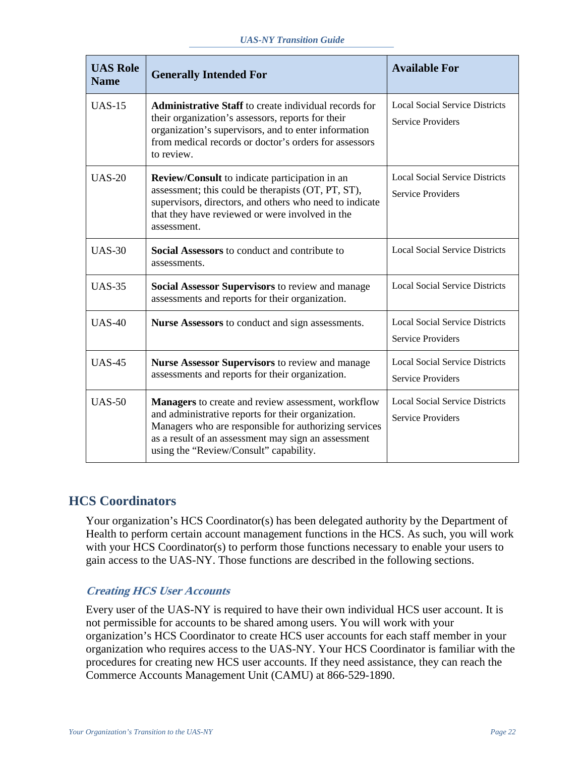| <b>UAS Role</b><br><b>Name</b> | <b>Generally Intended For</b>                                                                                                                                                                                                                                      | <b>Available For</b>                                              |  |
|--------------------------------|--------------------------------------------------------------------------------------------------------------------------------------------------------------------------------------------------------------------------------------------------------------------|-------------------------------------------------------------------|--|
| $UAS-15$                       | <b>Administrative Staff</b> to create individual records for<br>their organization's assessors, reports for their<br>organization's supervisors, and to enter information<br>from medical records or doctor's orders for assessors<br>to review.                   | <b>Local Social Service Districts</b><br><b>Service Providers</b> |  |
| $UAS-20$                       | Review/Consult to indicate participation in an<br>assessment; this could be therapists (OT, PT, ST),<br>supervisors, directors, and others who need to indicate<br>that they have reviewed or were involved in the<br>assessment.                                  | <b>Local Social Service Districts</b><br><b>Service Providers</b> |  |
| $UAS-30$                       | <b>Social Assessors</b> to conduct and contribute to<br>assessments.                                                                                                                                                                                               | <b>Local Social Service Districts</b>                             |  |
| <b>UAS-35</b>                  | Social Assessor Supervisors to review and manage<br>assessments and reports for their organization.                                                                                                                                                                | <b>Local Social Service Districts</b>                             |  |
| $UAS-40$                       | Nurse Assessors to conduct and sign assessments.                                                                                                                                                                                                                   | <b>Local Social Service Districts</b><br><b>Service Providers</b> |  |
| <b>UAS-45</b>                  | <b>Nurse Assessor Supervisors</b> to review and manage<br>assessments and reports for their organization.                                                                                                                                                          | <b>Local Social Service Districts</b><br><b>Service Providers</b> |  |
| $UAS-50$                       | Managers to create and review assessment, workflow<br>and administrative reports for their organization.<br>Managers who are responsible for authorizing services<br>as a result of an assessment may sign an assessment<br>using the "Review/Consult" capability. | <b>Local Social Service Districts</b><br><b>Service Providers</b> |  |

# <span id="page-24-0"></span>**HCS Coordinators**

Your organization's HCS Coordinator(s) has been delegated authority by the Department of Health to perform certain account management functions in the HCS. As such, you will work with your HCS Coordinator(s) to perform those functions necessary to enable your users to gain access to the UAS-NY. Those functions are described in the following sections.

### <span id="page-24-1"></span>**Creating HCS User Accounts**

Every user of the UAS-NY is required to have their own individual HCS user account. It is not permissible for accounts to be shared among users. You will work with your organization's HCS Coordinator to create HCS user accounts for each staff member in your organization who requires access to the UAS-NY. Your HCS Coordinator is familiar with the procedures for creating new HCS user accounts. If they need assistance, they can reach the Commerce Accounts Management Unit (CAMU) at 866-529-1890.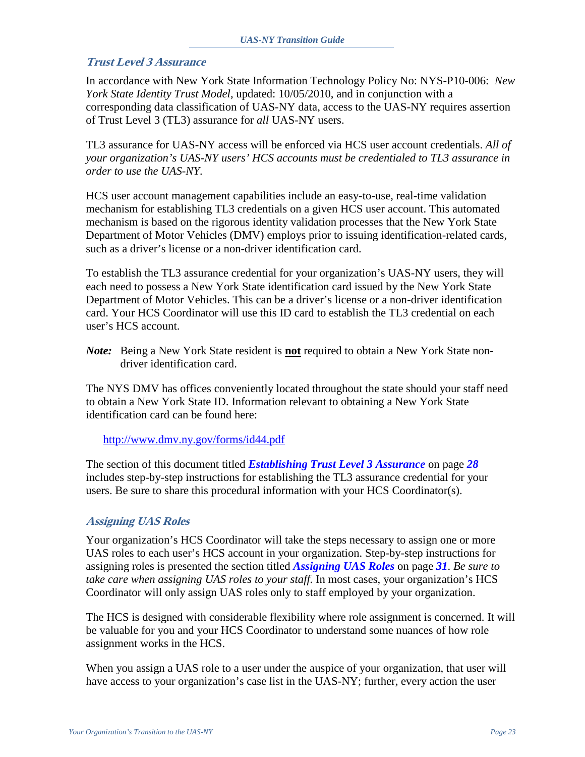#### <span id="page-25-0"></span>**Trust Level 3 Assurance**

In accordance with New York State Information Technology Policy No: NYS-P10-006: *New York State Identity Trust Model*, updated: 10/05/2010, and in conjunction with a corresponding data classification of UAS-NY data, access to the UAS-NY requires assertion of Trust Level 3 (TL3) assurance for *all* UAS-NY users.

TL3 assurance for UAS-NY access will be enforced via HCS user account credentials. *All of your organization's UAS-NY users' HCS accounts must be credentialed to TL3 assurance in order to use the UAS-NY.*

HCS user account management capabilities include an easy-to-use, real-time validation mechanism for establishing TL3 credentials on a given HCS user account. This automated mechanism is based on the rigorous identity validation processes that the New York State Department of Motor Vehicles (DMV) employs prior to issuing identification-related cards, such as a driver's license or a non-driver identification card.

To establish the TL3 assurance credential for your organization's UAS-NY users, they will each need to possess a New York State identification card issued by the New York State Department of Motor Vehicles. This can be a driver's license or a non-driver identification card. Your HCS Coordinator will use this ID card to establish the TL3 credential on each user's HCS account.

*Note:* Being a New York State resident is **not** required to obtain a New York State nondriver identification card.

The NYS DMV has offices conveniently located throughout the state should your staff need to obtain a New York State ID. Information relevant to obtaining a New York State identification card can be found here:

<http://www.dmv.ny.gov/forms/id44.pdf>

The section of this document titled *[Establishing Trust Level 3 Assurance](#page-30-0)* on page *[28](#page-30-0)* includes step-by-step instructions for establishing the TL3 assurance credential for your users. Be sure to share this procedural information with your HCS Coordinator(s).

#### <span id="page-25-1"></span>**Assigning UAS Roles**

Your organization's HCS Coordinator will take the steps necessary to assign one or more UAS roles to each user's HCS account in your organization. Step-by-step instructions for assigning roles is presented the section titled *[Assigning UAS Roles](#page-33-0)* on page *[31](#page-33-0)*. *Be sure to take care when assigning UAS roles to your staff.* In most cases, your organization's HCS Coordinator will only assign UAS roles only to staff employed by your organization.

The HCS is designed with considerable flexibility where role assignment is concerned. It will be valuable for you and your HCS Coordinator to understand some nuances of how role assignment works in the HCS.

When you assign a UAS role to a user under the auspice of your organization, that user will have access to your organization's case list in the UAS-NY; further, every action the user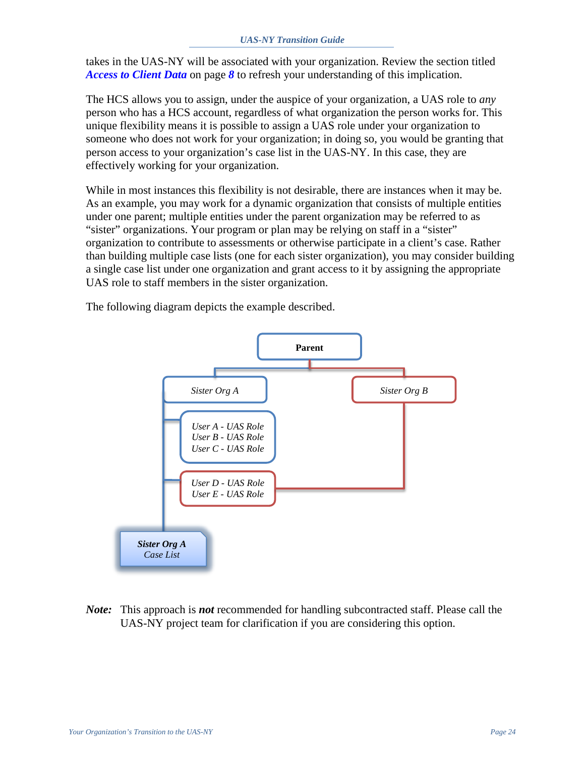takes in the UAS-NY will be associated with your organization. Review the section titled *[Access to Client Data](#page-10-1)* on page *[8](#page-10-1)* to refresh your understanding of this implication.

The HCS allows you to assign, under the auspice of your organization, a UAS role to *any* person who has a HCS account, regardless of what organization the person works for. This unique flexibility means it is possible to assign a UAS role under your organization to someone who does not work for your organization; in doing so, you would be granting that person access to your organization's case list in the UAS-NY. In this case, they are effectively working for your organization.

While in most instances this flexibility is not desirable, there are instances when it may be. As an example, you may work for a dynamic organization that consists of multiple entities under one parent; multiple entities under the parent organization may be referred to as "sister" organizations. Your program or plan may be relying on staff in a "sister" organization to contribute to assessments or otherwise participate in a client's case. Rather than building multiple case lists (one for each sister organization), you may consider building a single case list under one organization and grant access to it by assigning the appropriate UAS role to staff members in the sister organization.

The following diagram depicts the example described.



*Note:* This approach is *not* recommended for handling subcontracted staff. Please call the UAS-NY project team for clarification if you are considering this option.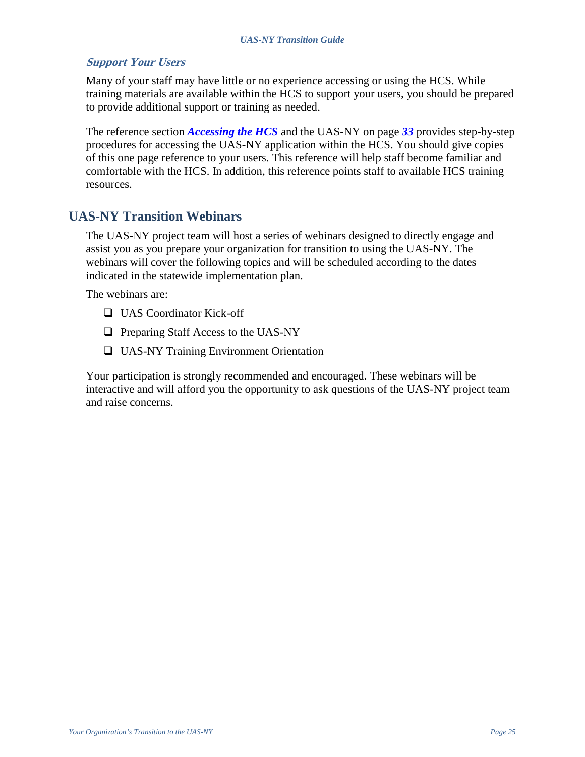#### <span id="page-27-0"></span>**Support Your Users**

Many of your staff may have little or no experience accessing or using the HCS. While training materials are available within the HCS to support your users, you should be prepared to provide additional support or training as needed.

The reference section *[Accessing the HCS](#page-35-0)* and the UAS-NY on page *[33](#page-35-0)* provides step-by-step procedures for accessing the UAS-NY application within the HCS. You should give copies of this one page reference to your users. This reference will help staff become familiar and comfortable with the HCS. In addition, this reference points staff to available HCS training resources.

# <span id="page-27-1"></span>**UAS-NY Transition Webinars**

The UAS-NY project team will host a series of webinars designed to directly engage and assist you as you prepare your organization for transition to using the UAS-NY. The webinars will cover the following topics and will be scheduled according to the dates indicated in the statewide implementation plan.

The webinars are:

- □ UAS Coordinator Kick-off
- $\Box$  Preparing Staff Access to the UAS-NY
- UAS-NY Training Environment Orientation

Your participation is strongly recommended and encouraged. These webinars will be interactive and will afford you the opportunity to ask questions of the UAS-NY project team and raise concerns.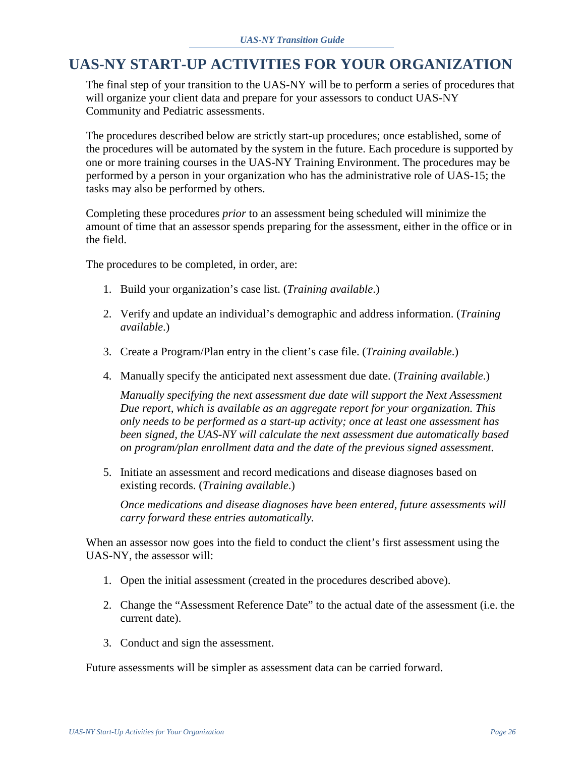# <span id="page-28-0"></span>**UAS-NY START-UP ACTIVITIES FOR YOUR ORGANIZATION**

The final step of your transition to the UAS-NY will be to perform a series of procedures that will organize your client data and prepare for your assessors to conduct UAS-NY Community and Pediatric assessments.

The procedures described below are strictly start-up procedures; once established, some of the procedures will be automated by the system in the future. Each procedure is supported by one or more training courses in the UAS-NY Training Environment. The procedures may be performed by a person in your organization who has the administrative role of UAS-15; the tasks may also be performed by others.

Completing these procedures *prior* to an assessment being scheduled will minimize the amount of time that an assessor spends preparing for the assessment, either in the office or in the field.

The procedures to be completed, in order, are:

- 1. Build your organization's case list. (*Training available*.)
- 2. Verify and update an individual's demographic and address information. (*Training available*.)
- 3. Create a Program/Plan entry in the client's case file. (*Training available*.)
- 4. Manually specify the anticipated next assessment due date. (*Training available*.)

*Manually specifying the next assessment due date will support the Next Assessment Due report, which is available as an aggregate report for your organization. This only needs to be performed as a start-up activity; once at least one assessment has been signed, the UAS-NY will calculate the next assessment due automatically based on program/plan enrollment data and the date of the previous signed assessment.*

5. Initiate an assessment and record medications and disease diagnoses based on existing records. (*Training available*.)

*Once medications and disease diagnoses have been entered, future assessments will carry forward these entries automatically.*

When an assessor now goes into the field to conduct the client's first assessment using the UAS-NY, the assessor will:

- 1. Open the initial assessment (created in the procedures described above).
- 2. Change the "Assessment Reference Date" to the actual date of the assessment (i.e. the current date).
- 3. Conduct and sign the assessment.

Future assessments will be simpler as assessment data can be carried forward.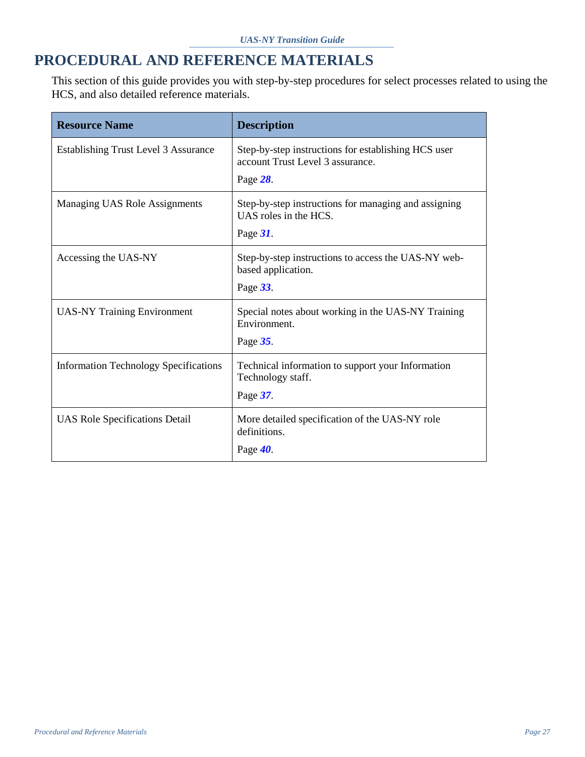# <span id="page-29-0"></span>**PROCEDURAL AND REFERENCE MATERIALS**

This section of this guide provides you with step-by-step procedures for select processes related to using the HCS, and also detailed reference materials.

| <b>Resource Name</b>                         | <b>Description</b>                                                                                  |
|----------------------------------------------|-----------------------------------------------------------------------------------------------------|
| <b>Establishing Trust Level 3 Assurance</b>  | Step-by-step instructions for establishing HCS user<br>account Trust Level 3 assurance.<br>Page 28. |
| Managing UAS Role Assignments                | Step-by-step instructions for managing and assigning<br>UAS roles in the HCS.<br>Page 31.           |
| Accessing the UAS-NY                         | Step-by-step instructions to access the UAS-NY web-<br>based application.<br>Page 33.               |
| <b>UAS-NY Training Environment</b>           | Special notes about working in the UAS-NY Training<br>Environment.<br>Page 35.                      |
| <b>Information Technology Specifications</b> | Technical information to support your Information<br>Technology staff.<br>Page 37.                  |
| <b>UAS Role Specifications Detail</b>        | More detailed specification of the UAS-NY role<br>definitions.<br>Page 40.                          |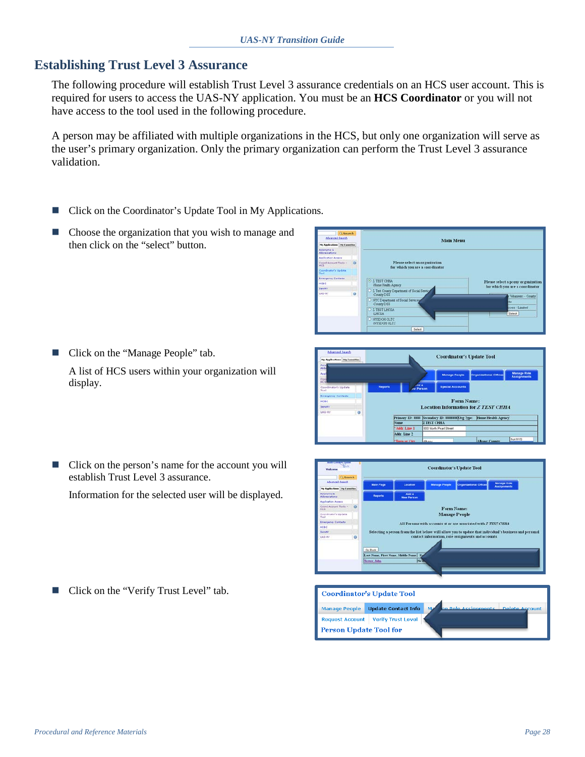# <span id="page-30-0"></span>**Establishing Trust Level 3 Assurance**

The following procedure will establish Trust Level 3 assurance credentials on an HCS user account. This is required for users to access the UAS-NY application. You must be an **HCS Coordinator** or you will not have access to the tool used in the following procedure.

A person may be affiliated with multiple organizations in the HCS, but only one organization will serve as the user's primary organization. Only the primary organization can perform the Trust Level 3 assurance validation.

- Click on the Coordinator's Update Tool in My Applications.
- Choose the organization that you wish to manage and then click on the "select" button.

- Click on the "Manage People" tab. A list of HCS users within your organization will display.
- Click on the person's name for the account you will establish Trust Level 3 assurance.

Information for the selected user will be displayed.

Please select an organization<br>for which you are a coordinator Z TEST CHHA Please select a proxy organiz<br>for which you are a coordin <sup>2</sup> Z Test County De E Z TEST LHCSA NYSDOH OLTC **Coordinator's Update Tool** 

**Main Menu** 







Click on the "Verify Trust Level" tab.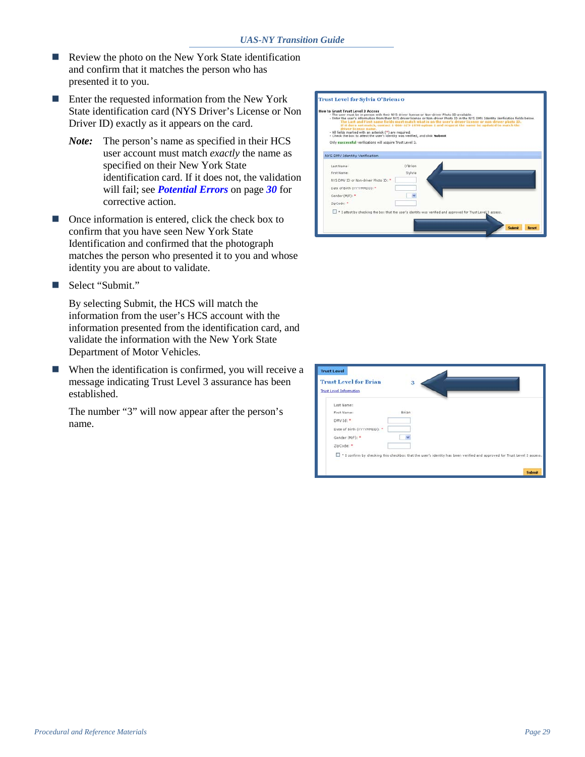- Review the photo on the New York State identification and confirm that it matches the person who has presented it to you.
- Enter the requested information from the New York State identification card (NYS Driver's License or Non Driver ID) exactly as it appears on the card.
	- *Note:* The person's name as specified in their HCS user account must match *exactly* the name as specified on their New York State identification card. If it does not, the validation will fail; see *[Potential Errors](#page-32-0)* on page *[30](#page-32-0)* for corrective action.
- Once information is entered, click the check box to confirm that you have seen New York State Identification and confirmed that the photograph matches the person who presented it to you and whose identity you are about to validate.
- Select "Submit."

By selecting Submit, the HCS will match the information from the user's HCS account with the information presented from the identification card, and validate the information with the New York State Department of Motor Vehicles.

 $\blacksquare$  When the identification is confirmed, you will receive a message indicating Trust Level 3 assurance has been established.

The number "3" will now appear after the person's name.

#### Trust Level for Sylvia O'Brien: o ant Trust Level 3 Access<br>e user must be in person with their NYS driver license or Non-driver Photo 1D available.<br>ter the user's information from their NYS driver license or Non-driver Photo ID in the NYS DMV Ide All fields marked with an asterisk (\*) are required.<br>Check the box to attest the user's identity was verified, and dick Sub Only successful verifications will acquire Trust Level 3. NYS DMV Identity Verification Last Name: O'Brier First Name: Sylvia MYS DMV ID or Non-driver Photo ID Date of Birth (YYYYMMDD):  $\overline{\mathbf{v}}$ Gender (M/F): \* ZipCode: \*  $\Box$  \* I attest by checking the box that the user's id

| <b>Trust Level for Brian</b><br><b>Trust Level Information</b>                                                          | $\overline{\mathbf{3}}$  |  |  |  |
|-------------------------------------------------------------------------------------------------------------------------|--------------------------|--|--|--|
| Last Name:                                                                                                              |                          |  |  |  |
| First Name:                                                                                                             | Brian                    |  |  |  |
| DMV Id: *                                                                                                               |                          |  |  |  |
| Date of Birth (YYYYMMDD): *                                                                                             |                          |  |  |  |
| Gender (M/F): *                                                                                                         | $\overline{\phantom{a}}$ |  |  |  |
| ZipCode: *                                                                                                              |                          |  |  |  |
| * I confirm by checking this checkbox that the user's identity has been verified and approved for Trust Level 3 access. |                          |  |  |  |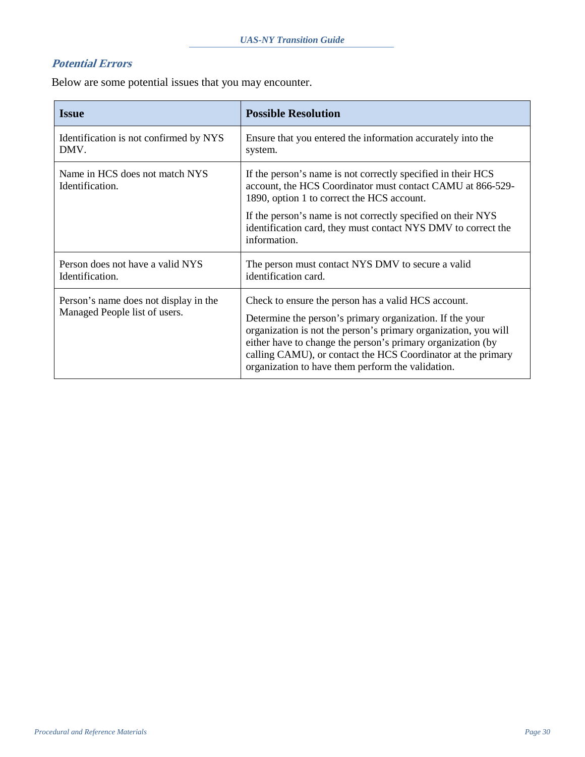# <span id="page-32-0"></span>**Potential Errors**

Below are some potential issues that you may encounter.

| <b>Issue</b>                                                           | <b>Possible Resolution</b>                                                                                                                                                                                                                                                                                                                                             |  |  |
|------------------------------------------------------------------------|------------------------------------------------------------------------------------------------------------------------------------------------------------------------------------------------------------------------------------------------------------------------------------------------------------------------------------------------------------------------|--|--|
| Identification is not confirmed by NYS<br>DMV.                         | Ensure that you entered the information accurately into the<br>system.                                                                                                                                                                                                                                                                                                 |  |  |
| Name in HCS does not match NYS<br>Identification.                      | If the person's name is not correctly specified in their HCS<br>account, the HCS Coordinator must contact CAMU at 866-529-<br>1890, option 1 to correct the HCS account.                                                                                                                                                                                               |  |  |
|                                                                        | If the person's name is not correctly specified on their NYS<br>identification card, they must contact NYS DMV to correct the<br>information.                                                                                                                                                                                                                          |  |  |
| Person does not have a valid NYS<br>Identification.                    | The person must contact NYS DMV to secure a valid<br>identification card.                                                                                                                                                                                                                                                                                              |  |  |
| Person's name does not display in the<br>Managed People list of users. | Check to ensure the person has a valid HCS account.<br>Determine the person's primary organization. If the your<br>organization is not the person's primary organization, you will<br>either have to change the person's primary organization (by<br>calling CAMU), or contact the HCS Coordinator at the primary<br>organization to have them perform the validation. |  |  |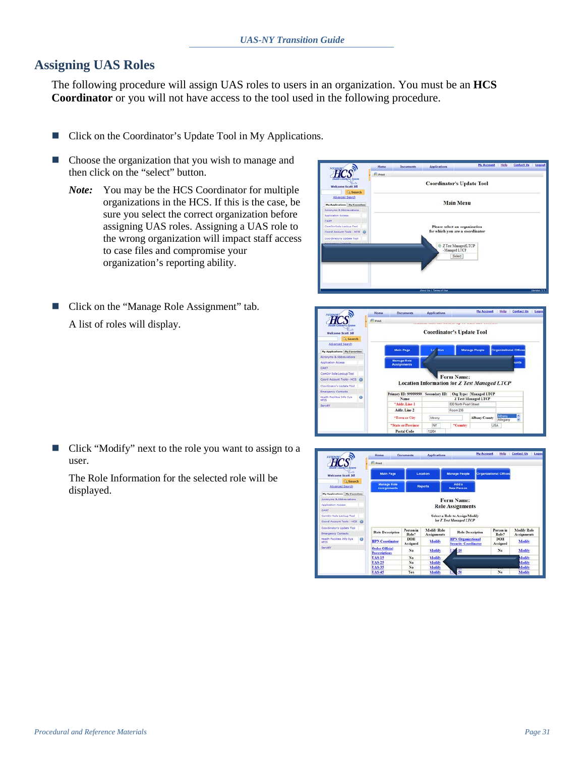# <span id="page-33-0"></span>**Assigning UAS Roles**

The following procedure will assign UAS roles to users in an organization. You must be an **HCS Coordinator** or you will not have access to the tool used in the following procedure.

- Click on the Coordinator's Update Tool in My Applications.
- Choose the organization that you wish to manage and then click on the "select" button.
	- *Note:* You may be the HCS Coordinator for multiple organizations in the HCS. If this is the case, be sure you select the correct organization before assigning UAS roles. Assigning a UAS role to the wrong organization will impact staff access to case files and compromise your organization's reporting ability.
- Click on the "Manage Role Assignment" tab. A list of roles will display.





■ Click "Modify" next to the role you want to assign to a user.

The Role Information for the selected role will be displayed.

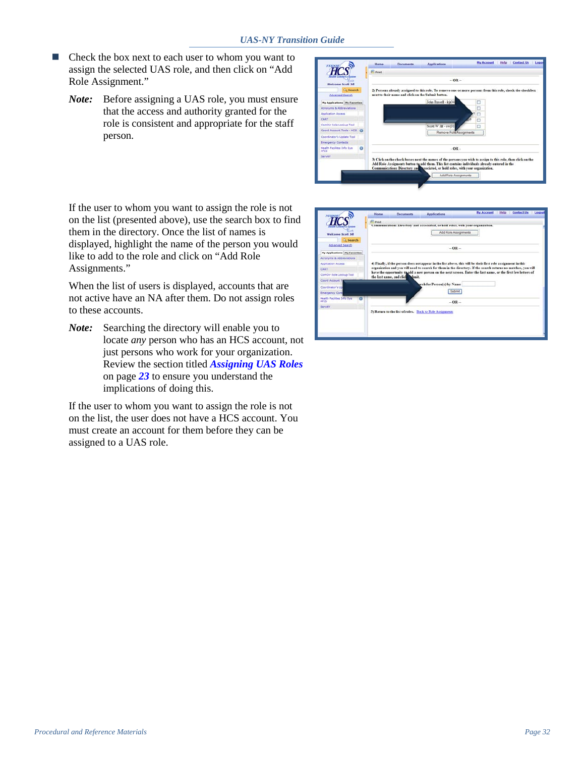- Check the box next to each user to whom you want to assign the selected UAS role, and then click on "Add Role Assignment."
	- *Note:* Before assigning a UAS role, you must ensure that the access and authority granted for the role is consistent and appropriate for the staff person.



If the user to whom you want to assign the role is not on the list (presented above), use the search box to find them in the directory. Once the list of names is displayed, highlight the name of the person you would like to add to the role and click on "Add Role Assignments."

When the list of users is displayed, accounts that are not active have an NA after them. Do not assign roles to these accounts.

*Note:* Searching the directory will enable you to locate *any* person who has an HCS account, not just persons who work for your organization. Review the section titled *[Assigning UAS Roles](#page-25-1)* on page *[23](#page-25-1)* to ensure you understand the implications of doing this.

If the user to whom you want to assign the role is not on the list, the user does not have a HCS account. You must create an account for them before they can be assigned to a UAS role.

| System<br><b>Welcome Scott Jill</b>               | <b>Print</b> Parint<br>Communications Directory and associated, or hold roles, with your organization.<br>Add Role Assignments                                                                                                  |
|---------------------------------------------------|---------------------------------------------------------------------------------------------------------------------------------------------------------------------------------------------------------------------------------|
| <b>Q.</b> Search<br>Advanced Search               | $-$ OR $-$                                                                                                                                                                                                                      |
| My Applications My Favorities                     |                                                                                                                                                                                                                                 |
| Acronyms & Abbreviations                          |                                                                                                                                                                                                                                 |
| <b>Apolication Access</b>                         | 4) Finally, if the person does not appear in the list above, this will be their first role assignment in this<br>organization and you will need to search for them in the directory. If the search returns no matches, you will |
| CART                                              | have the opportunity to add a new person on the next screen. Enter the last name, or the first few letters of                                                                                                                   |
| Compir Role Lookup Tool                           | the last name, and click<br>tienda                                                                                                                                                                                              |
| Coord Account TE                                  | arch for Person(s) by Name                                                                                                                                                                                                      |
| Coordinator's Up                                  |                                                                                                                                                                                                                                 |
| <b>Emergency Cord</b>                             | Submit                                                                                                                                                                                                                          |
| <b>Health Facilities Info Sys</b><br><b>HFTS:</b> | $-$ OR $-$                                                                                                                                                                                                                      |
| Servity                                           | 5) Return to the list of roles. Back to Role Assignments                                                                                                                                                                        |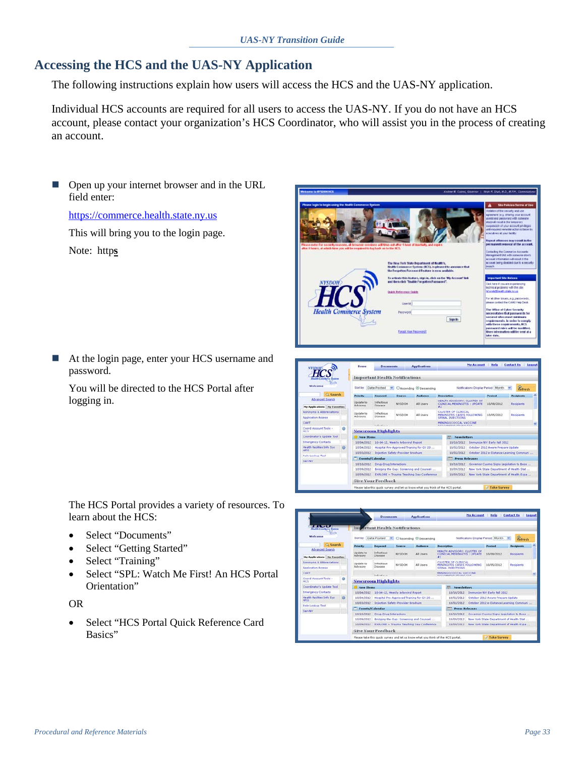# <span id="page-35-0"></span>**Accessing the HCS and the UAS-NY Application**

The following instructions explain how users will access the HCS and the UAS-NY application.

Individual HCS accounts are required for all users to access the UAS-NY. If you do not have an HCS account, please contact your organization's HCS Coordinator, who will assist you in the process of creating an account.

■ Open up your internet browser and in the URL field enter:

[https://commerce.health.state.ny.us](https://commerce.health.state.ny.us/)

This will bring you to the login page.

Note: https

 At the login page, enter your HCS username and password.

You will be directed to the HCS Portal after logging in.

The HCS Portal provides a variety of resources. To learn about the HCS:

- Select "Documents"
- Select "Getting Started"
- Select "Training"
- Select "SPL: Watch Me First! An HCS Portal Orientation"

OR

• Select "HCS Portal Quick Reference Card Basics"



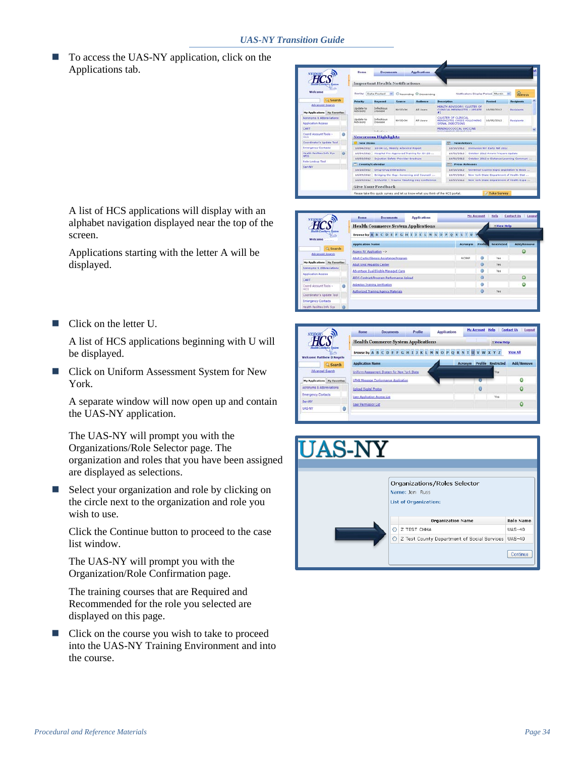To access the UAS-NY application, click on the Applications tab.

A list of HCS applications will display with an alphabet navigation displayed near the top of the screen.

Applications starting with the letter A will be displayed.

■ Click on the letter U.

A list of HCS applications beginning with U will be displayed.

■ Click on Uniform Assessment System for New York.

A separate window will now open up and contain the UAS-NY application.

The UAS-NY will prompt you with the Organizations/Role Selector page. The organization and roles that you have been assigned are displayed as selections.

 Select your organization and role by clicking on the circle next to the organization and role you wish to use.

Click the Continue button to proceed to the case list window.

The UAS-NY will prompt you with the Organization/Role Confirmation page.

The training courses that are Required and Recommended for the role you selected are displayed on this page.

<span id="page-36-0"></span> Click on the course you wish to take to proceed into the UAS-NY Training Environment and into the course.







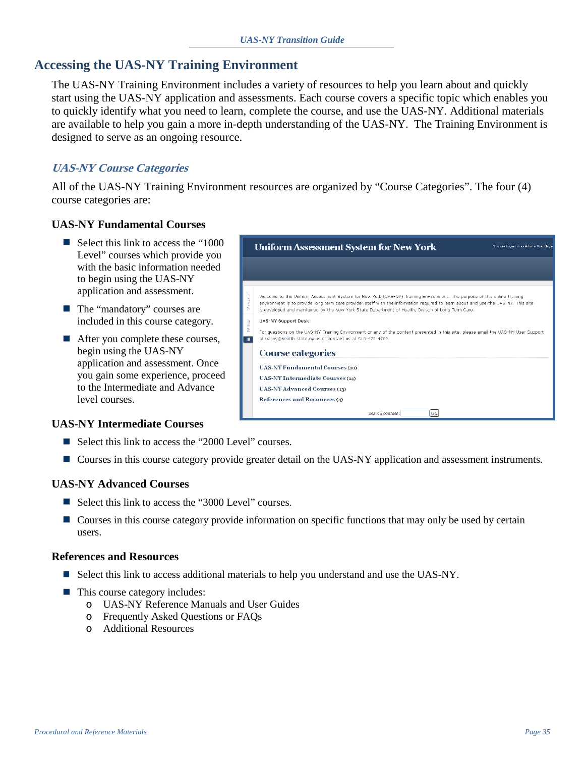# <span id="page-37-0"></span>**Accessing the UAS-NY Training Environment**

The UAS-NY Training Environment includes a variety of resources to help you learn about and quickly start using the UAS-NY application and assessments. Each course covers a specific topic which enables you to quickly identify what you need to learn, complete the course, and use the UAS-NY. Additional materials are available to help you gain a more in-depth understanding of the UAS-NY. The Training Environment is designed to serve as an ongoing resource.

## <span id="page-37-1"></span>**UAS-NY Course Categories**

All of the UAS-NY Training Environment resources are organized by "Course Categories". The four (4) course categories are:

#### **UAS-NY Fundamental Courses**

- Select this link to access the "1000" Level" courses which provide you with the basic information needed to begin using the UAS-NY application and assessment.
- The "mandatory" courses are included in this course category.
- After you complete these courses, begin using the UAS-NY application and assessment. Once you gain some experience, proceed to the Intermediate and Advance level courses.

#### **UAS-NY Intermediate Courses**

- Select this link to access the "2000 Level" courses.
- Courses in this course category provide greater detail on the UAS-NY application and assessment instruments.

#### **UAS-NY Advanced Courses**

- Select this link to access the "3000 Level" courses.
- **OURCOURSES** In this course category provide information on specific functions that may only be used by certain users.

#### **References and Resources**

- Select this link to access additional materials to help you understand and use the UAS-NY.
- $\blacksquare$  This course category includes:
	- o UAS-NY Reference Manuals and User Guides
	- o Frequently Asked Questions or FAQs
	- o Additional Resources

|            | Uniform Assessment System for New York                                                                                                                                                                                                                                                                                                                               | You are logged in as Admin User (Log |
|------------|----------------------------------------------------------------------------------------------------------------------------------------------------------------------------------------------------------------------------------------------------------------------------------------------------------------------------------------------------------------------|--------------------------------------|
|            |                                                                                                                                                                                                                                                                                                                                                                      |                                      |
|            |                                                                                                                                                                                                                                                                                                                                                                      |                                      |
| Navigation | Welcome to the Uniform Assessment System for New York (UAS-NY) Training Environment. The purpose of this online training<br>environment is to provide long term care provider staff with the information required to learn about and use the UAS-NY. This site<br>is developed and maintained by the New York State Department of Health. Divison of Long Term Care. |                                      |
| Settings   | <b>UAS-NY Support Desk</b><br>For questions on the UAS-NY Training Environment or any of the content presented in this site, please email the UAS-NY User Support<br>at uasny@health.state.nv.us or contact us at 518-473-4782.                                                                                                                                      |                                      |
|            | <b>Course categories</b>                                                                                                                                                                                                                                                                                                                                             |                                      |
|            | <b>UAS-NY Fundamental Courses (10)</b>                                                                                                                                                                                                                                                                                                                               |                                      |
|            | <b>UAS-NY Intermediate Courses (14)</b>                                                                                                                                                                                                                                                                                                                              |                                      |
|            | <b>UAS-NY Advanced Courses (13)</b>                                                                                                                                                                                                                                                                                                                                  |                                      |
|            | <b>References and Resources (4)</b>                                                                                                                                                                                                                                                                                                                                  |                                      |
|            | Search courses:<br>Go                                                                                                                                                                                                                                                                                                                                                |                                      |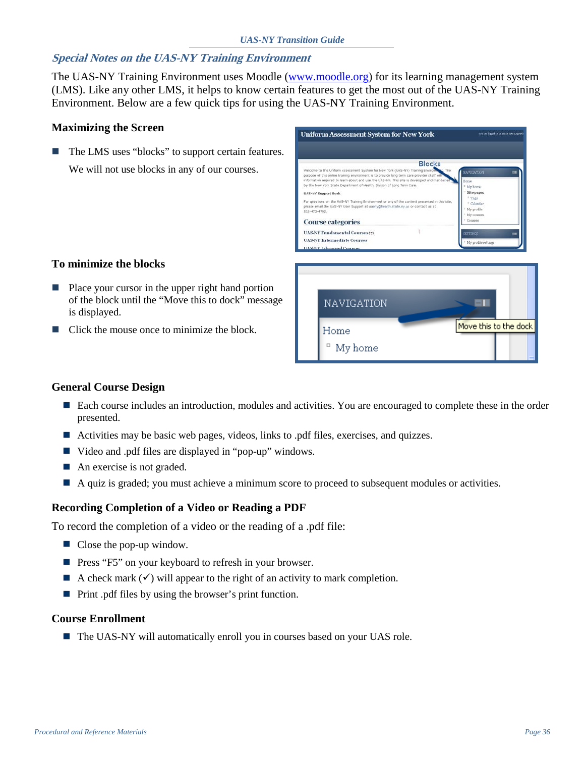#### <span id="page-38-0"></span>**Special Notes on the UAS-NY Training Environment**

The UAS-NY Training Environment uses Moodle [\(www.moodle.org\)](http://www.moodle.org/) for its learning management system (LMS). Like any other LMS, it helps to know certain features to get the most out of the UAS-NY Training Environment. Below are a few quick tips for using the UAS-NY Training Environment.

#### **Maximizing the Screen**

 The LMS uses "blocks" to support certain features. We will not use blocks in any of our courses.



#### **To minimize the blocks**

- **Place your cursor in the upper right hand portion** of the block until the "Move this to dock" message is displayed.
- Click the mouse once to minimize the block.

**General Course Design**

- Each course includes an introduction, modules and activities. You are encouraged to complete these in the order presented.
- Activities may be basic web pages, videos, links to .pdf files, exercises, and quizzes.
- Video and .pdf files are displayed in "pop-up" windows.
- An exercise is not graded.
- A quiz is graded; you must achieve a minimum score to proceed to subsequent modules or activities.

#### **Recording Completion of a Video or Reading a PDF**

To record the completion of a video or the reading of a .pdf file:

- Close the pop-up window.
- **Press "F5" on your keyboard to refresh in your browser.**
- A check mark  $(\checkmark)$  will appear to the right of an activity to mark completion.
- Print .pdf files by using the browser's print function.

#### **Course Enrollment**

■ The UAS-NY will automatically enroll you in courses based on your UAS role.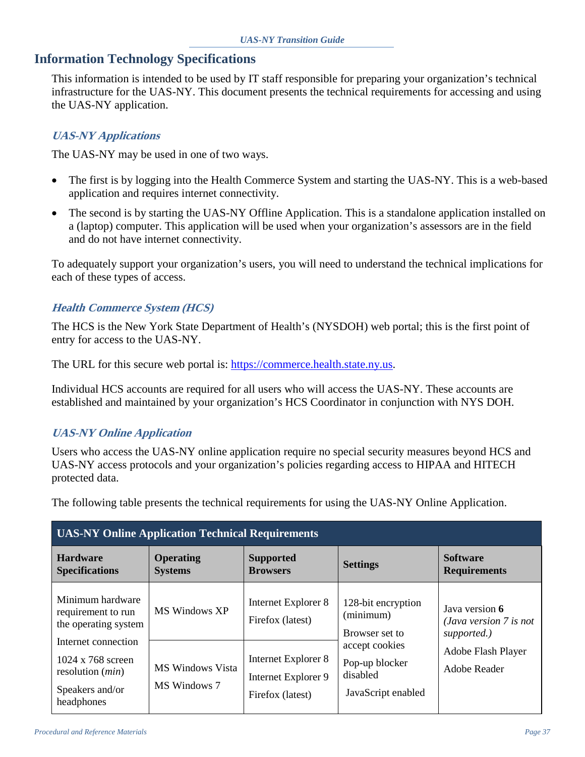# <span id="page-39-0"></span>**Information Technology Specifications**

This information is intended to be used by IT staff responsible for preparing your organization's technical infrastructure for the UAS-NY. This document presents the technical requirements for accessing and using the UAS-NY application.

#### <span id="page-39-1"></span>**UAS-NY Applications**

The UAS-NY may be used in one of two ways.

- The first is by logging into the Health Commerce System and starting the UAS-NY. This is a web-based application and requires internet connectivity.
- The second is by starting the UAS-NY Offline Application. This is a standalone application installed on a (laptop) computer. This application will be used when your organization's assessors are in the field and do not have internet connectivity.

To adequately support your organization's users, you will need to understand the technical implications for each of these types of access.

#### <span id="page-39-2"></span>**Health Commerce System (HCS)**

The HCS is the New York State Department of Health's (NYSDOH) web portal; this is the first point of entry for access to the UAS-NY.

The URL for this secure web portal is: [https://commerce.health.state.ny.us.](https://commerce.health.state.ny.us/)

Individual HCS accounts are required for all users who will access the UAS-NY. These accounts are established and maintained by your organization's HCS Coordinator in conjunction with NYS DOH.

#### <span id="page-39-3"></span>**UAS-NY Online Application**

Users who access the UAS-NY online application require no special security measures beyond HCS and UAS-NY access protocols and your organization's policies regarding access to HIPAA and HITECH protected data.

The following table presents the technical requirements for using the UAS-NY Online Application.

| <b>UAS-NY Online Application Technical Requirements</b>                                                |                                         |                                                                |                                                                    |                                                           |  |
|--------------------------------------------------------------------------------------------------------|-----------------------------------------|----------------------------------------------------------------|--------------------------------------------------------------------|-----------------------------------------------------------|--|
| <b>Hardware</b><br><b>Specifications</b>                                                               | <b>Operating</b><br><b>Systems</b>      | <b>Supported</b><br><b>Browsers</b>                            | <b>Settings</b>                                                    | <b>Software</b><br><b>Requirements</b>                    |  |
| Minimum hardware<br>requirement to run<br>the operating system                                         | MS Windows XP                           | Internet Explorer 8<br>Firefox (latest)                        | 128-bit encryption<br>(minimum)<br>Browser set to                  | Java version 6<br>(Java version $7$ is not<br>supported.) |  |
| Internet connection<br>$1024 \times 768$ screen<br>resolution $(min)$<br>Speakers and/or<br>headphones | <b>MS Windows Vista</b><br>MS Windows 7 | Internet Explorer 8<br>Internet Explorer 9<br>Firefox (latest) | accept cookies<br>Pop-up blocker<br>disabled<br>JavaScript enabled | Adobe Flash Player<br>Adobe Reader                        |  |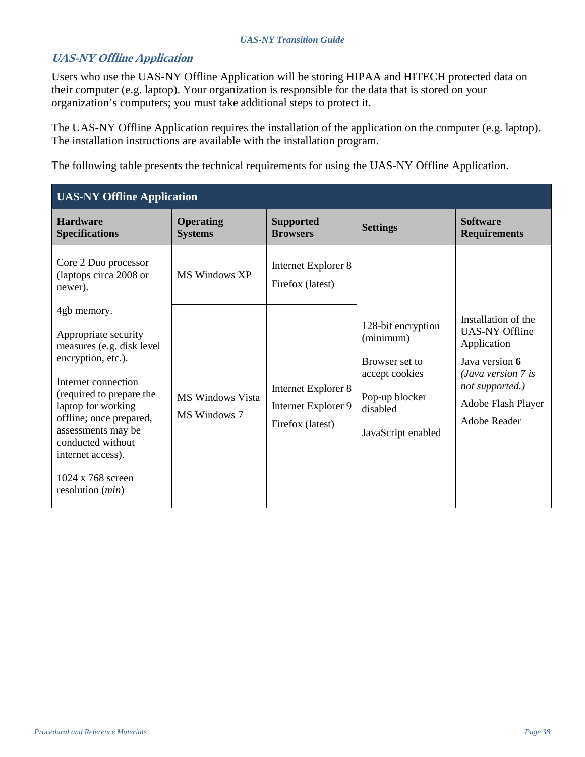## <span id="page-40-0"></span>**UAS-NY Offline Application**

Users who use the UAS-NY Offline Application will be storing HIPAA and HITECH protected data on their computer (e.g. laptop). Your organization is responsible for the data that is stored on your organization's computers; you must take additional steps to protect it.

The UAS-NY Offline Application requires the installation of the application on the computer (e.g. laptop). The installation instructions are available with the installation program.

The following table presents the technical requirements for using the UAS-NY Offline Application.

| <b>UAS-NY Offline Application</b>                                                                                                                                                                                                                                                                          |                                                                           |                                                                |                                                                                                                         |                                                                                                                                                                       |  |  |  |  |
|------------------------------------------------------------------------------------------------------------------------------------------------------------------------------------------------------------------------------------------------------------------------------------------------------------|---------------------------------------------------------------------------|----------------------------------------------------------------|-------------------------------------------------------------------------------------------------------------------------|-----------------------------------------------------------------------------------------------------------------------------------------------------------------------|--|--|--|--|
| <b>Hardware</b><br><b>Specifications</b>                                                                                                                                                                                                                                                                   | <b>Operating</b><br><b>Supported</b><br><b>Systems</b><br><b>Browsers</b> |                                                                | <b>Settings</b>                                                                                                         | <b>Software</b><br><b>Requirements</b>                                                                                                                                |  |  |  |  |
| Core 2 Duo processor<br>(laptops circa 2008 or<br>newer).                                                                                                                                                                                                                                                  | MS Windows XP                                                             | Internet Explorer 8<br>Firefox (latest)                        |                                                                                                                         |                                                                                                                                                                       |  |  |  |  |
| 4gb memory.<br>Appropriate security<br>measures (e.g. disk level<br>encryption, etc.).<br>Internet connection<br>(required to prepare the<br>laptop for working<br>offline; once prepared,<br>assessments may be<br>conducted without<br>internet access).<br>$1024 \times 768$ screen<br>resolution (min) | <b>MS Windows Vista</b><br>MS Windows 7                                   | Internet Explorer 8<br>Internet Explorer 9<br>Firefox (latest) | 128-bit encryption<br>(minimum)<br>Browser set to<br>accept cookies<br>Pop-up blocker<br>disabled<br>JavaScript enabled | Installation of the<br><b>UAS-NY Offline</b><br>Application<br>Java version 6<br>(Java version $7$ is<br>not supported.)<br>Adobe Flash Player<br><b>Adobe Reader</b> |  |  |  |  |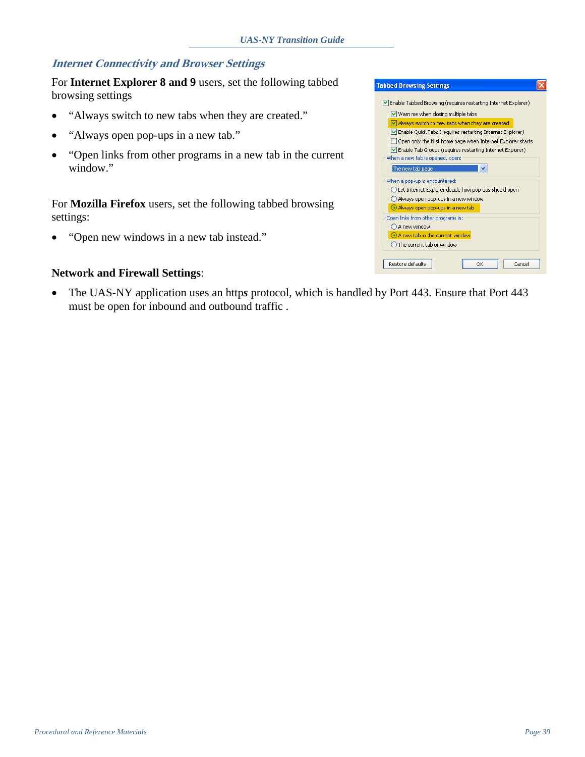#### <span id="page-41-0"></span>**Internet Connectivity and Browser Settings**

For **Internet Explorer 8 and 9** users, set the following tabbed browsing settings

- "Always switch to new tabs when they are created."
- "Always open pop-ups in a new tab."
- "Open links from other programs in a new tab in the current window."

For **Mozilla Firefox** users, set the following tabbed browsing settings:

• "Open new windows in a new tab instead."

#### **Network and Firewall Settings**:

• The UAS-NY application uses an http*s* protocol, which is handled by Port 443. Ensure that Port 443 must be open for inbound and outbound traffic .

| abbed Browsing Settings                                                                                                  |  |  |  |  |  |
|--------------------------------------------------------------------------------------------------------------------------|--|--|--|--|--|
| Enable Tabbed Browsing (requires restarting Internet Explorer)                                                           |  |  |  |  |  |
| V Warn me when closing multiple tabs                                                                                     |  |  |  |  |  |
| Always switch to new tabs when they are created                                                                          |  |  |  |  |  |
| Enable Quick Tabs (requires restarting Internet Explorer)<br>Open only the first home page when Internet Explorer starts |  |  |  |  |  |
| Enable Tab Groups (requires restarting Internet Explorer)                                                                |  |  |  |  |  |
| When a new tab is opened, open:<br>The new tab page                                                                      |  |  |  |  |  |
|                                                                                                                          |  |  |  |  |  |
| When a pop-up is encountered:<br>Let Internet Explorer decide how pop-ups should open                                    |  |  |  |  |  |
| Always open pop-ups in a new window (                                                                                    |  |  |  |  |  |
| (*) Always open pop-ups in a new tab                                                                                     |  |  |  |  |  |
| Open links from other programs in:<br>A new window                                                                       |  |  |  |  |  |
| A new tab in the current window                                                                                          |  |  |  |  |  |
| The current tab or window                                                                                                |  |  |  |  |  |
| Restore defaults<br>OK<br>Cancel                                                                                         |  |  |  |  |  |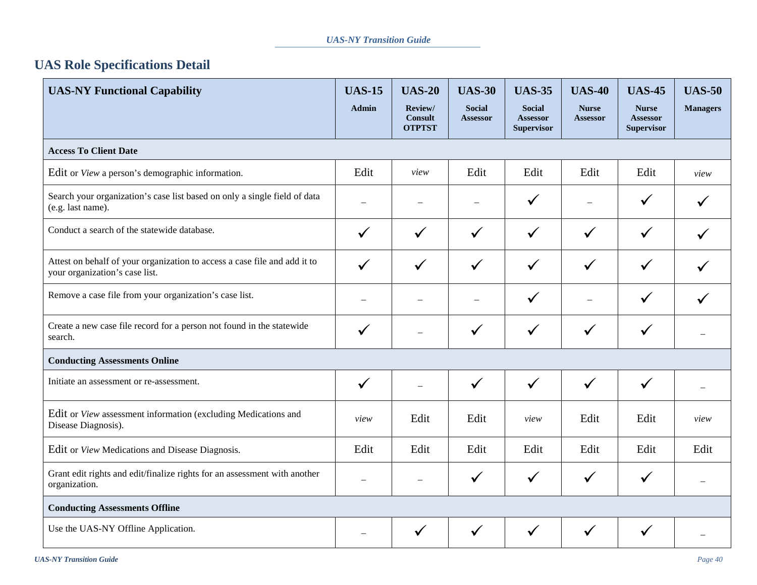#### *UAS-NY Transition Guide*

# **UAS Role Specifications Detail**

<span id="page-42-0"></span>

| <b>UAS-NY Functional Capability</b>                                                                         | <b>UAS-15</b><br><b>Admin</b> | <b>UAS-20</b><br>Review/<br><b>Consult</b><br><b>OTPTST</b> | <b>UAS-30</b><br><b>Social</b><br><b>Assessor</b> | <b>UAS-35</b><br><b>Social</b><br><b>Assessor</b><br><b>Supervisor</b> | <b>UAS-40</b><br><b>Nurse</b><br><b>Assessor</b> | <b>UAS-45</b><br><b>Nurse</b><br><b>Assessor</b><br><b>Supervisor</b> | <b>UAS-50</b><br><b>Managers</b> |
|-------------------------------------------------------------------------------------------------------------|-------------------------------|-------------------------------------------------------------|---------------------------------------------------|------------------------------------------------------------------------|--------------------------------------------------|-----------------------------------------------------------------------|----------------------------------|
| <b>Access To Client Date</b>                                                                                |                               |                                                             |                                                   |                                                                        |                                                  |                                                                       |                                  |
| Edit or View a person's demographic information.                                                            | Edit                          | view                                                        | Edit                                              | Edit                                                                   | Edit                                             | Edit                                                                  | view                             |
| Search your organization's case list based on only a single field of data<br>(e.g. last name).              |                               |                                                             |                                                   | $\checkmark$                                                           |                                                  | $\checkmark$                                                          |                                  |
| Conduct a search of the statewide database.                                                                 |                               | $\checkmark$                                                | $\checkmark$                                      | $\checkmark$                                                           | ✓                                                | $\checkmark$                                                          |                                  |
| Attest on behalf of your organization to access a case file and add it to<br>your organization's case list. |                               | $\checkmark$                                                | ✓                                                 | $\checkmark$                                                           | $\checkmark$                                     | $\checkmark$                                                          |                                  |
| Remove a case file from your organization's case list.                                                      |                               |                                                             |                                                   | $\checkmark$                                                           |                                                  | ✓                                                                     |                                  |
| Create a new case file record for a person not found in the statewide<br>search.                            |                               |                                                             | $\checkmark$                                      | $\checkmark$                                                           | ✓                                                |                                                                       |                                  |
| <b>Conducting Assessments Online</b>                                                                        |                               |                                                             |                                                   |                                                                        |                                                  |                                                                       |                                  |
| Initiate an assessment or re-assessment.                                                                    | ✓                             |                                                             | $\checkmark$                                      | $\checkmark$                                                           | $\checkmark$                                     | $\checkmark$                                                          |                                  |
| Edit or <i>View</i> assessment information (excluding Medications and<br>Disease Diagnosis).                | view                          | Edit                                                        | Edit                                              | view                                                                   | Edit                                             | Edit                                                                  | view                             |
| Edit or View Medications and Disease Diagnosis.                                                             | Edit                          | Edit                                                        | Edit                                              | Edit                                                                   | Edit                                             | Edit                                                                  | Edit                             |
| Grant edit rights and edit/finalize rights for an assessment with another<br>organization.                  |                               |                                                             | $\checkmark$                                      | $\checkmark$                                                           | $\checkmark$                                     | $\checkmark$                                                          |                                  |
| <b>Conducting Assessments Offline</b>                                                                       |                               |                                                             |                                                   |                                                                        |                                                  |                                                                       |                                  |
| Use the UAS-NY Offline Application.                                                                         |                               | $\checkmark$                                                |                                                   | $\checkmark$                                                           | ✓                                                | $\checkmark$                                                          |                                  |